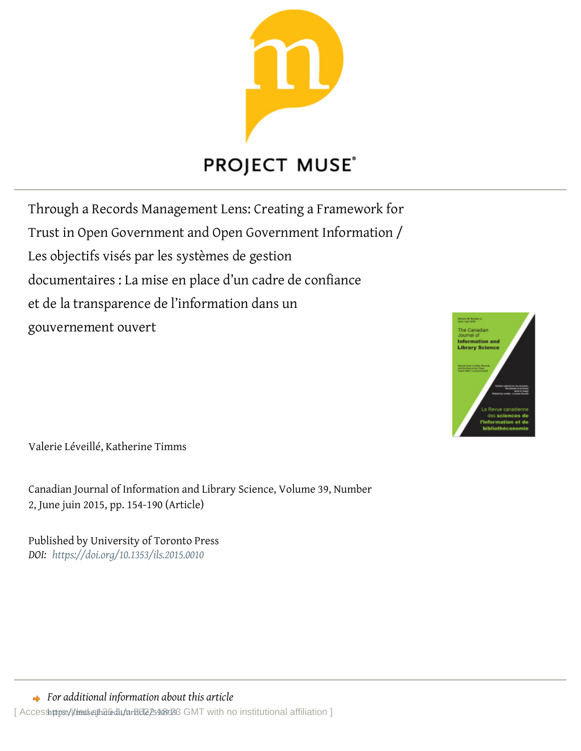

# **PROJECT MUSE®**

Through a Records Management Lens: Creating a Framework for Trust in Open Government and Open Government Information / Les objectifs visés par les systèmes de gestion documentaires : La mise en place d'un cadre de confiance et de la transparence de l'information dans un gouvernement ouvert



Valerie Léveillé, Katherine Timms

Canadian Journal of Information and Library Science, Volume 39, Number 2, June juin 2015, pp. 154-190 (Article)

Published by University of Toronto Press *DOI: <https://doi.org/10.1353/ils.2015.0010>*

[ Accesshttps://daute.jh2dedu/arEd225909328 GMT with no institutional affiliation ]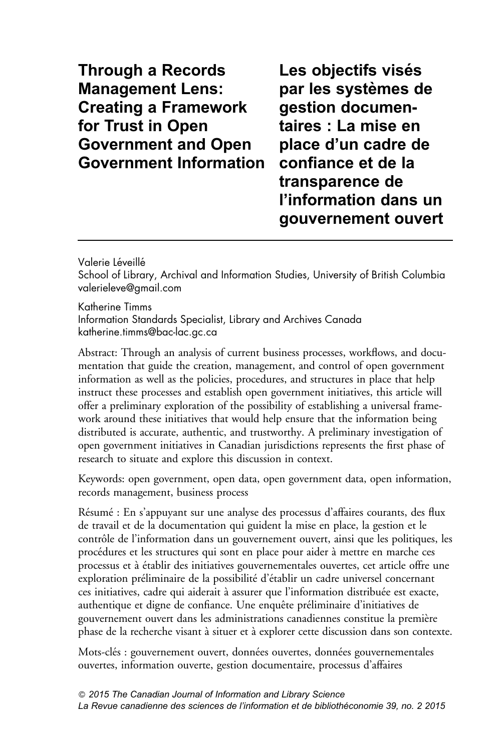Through a Records Management Lens: Creating a Framework for Trust in Open Government and Open Government Information Les objectifs visés par les syste`mes de gestion documentaires : La mise en place d'un cadre de confiance et de la transparence de l'information dans un gouvernement ouvert

Valerie Léveillé School of Library, Archival and Information Studies, University of British Columbia <valerieleve@gmail.com>

Katherine Timms Information Standards Specialist, Library and Archives Canada <katherine.timms@bac-lac.gc.ca>

Abstract: Through an analysis of current business processes, workflows, and documentation that guide the creation, management, and control of open government information as well as the policies, procedures, and structures in place that help instruct these processes and establish open government initiatives, this article will offer a preliminary exploration of the possibility of establishing a universal framework around these initiatives that would help ensure that the information being distributed is accurate, authentic, and trustworthy. A preliminary investigation of open government initiatives in Canadian jurisdictions represents the first phase of research to situate and explore this discussion in context.

Keywords: open government, open data, open government data, open information, records management, business process

Résumé : En s'appuyant sur une analyse des processus d'affaires courants, des flux de travail et de la documentation qui guident la mise en place, la gestion et le contrôle de l'information dans un gouvernement ouvert, ainsi que les politiques, les procédures et les structures qui sont en place pour aider à mettre en marche ces processus et à établir des initiatives gouvernementales ouvertes, cet article offre une exploration préliminaire de la possibilité d'établir un cadre universel concernant ces initiatives, cadre qui aiderait à assurer que l'information distribuée est exacte, authentique et digne de confiance. Une enquête préliminaire d'initiatives de gouvernement ouvert dans les administrations canadiennes constitue la première phase de la recherche visant a` situer et a` explorer cette discussion dans son contexte.

Mots-clés : gouvernement ouvert, données ouvertes, données gouvernementales ouvertes, information ouverte, gestion documentaire, processus d'affaires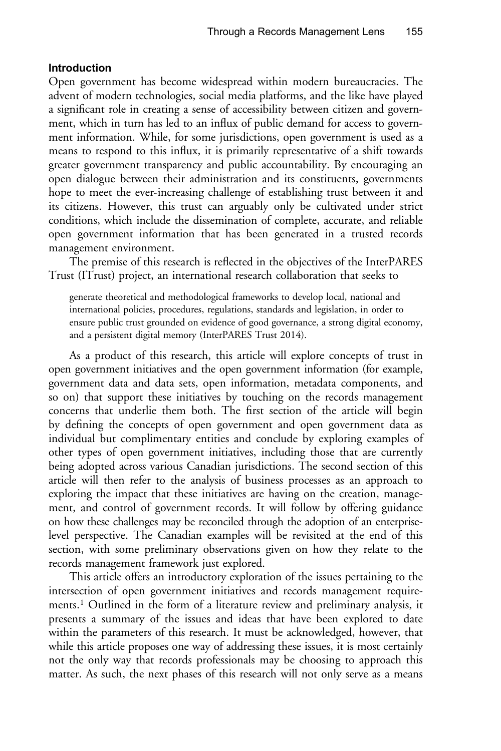#### Introduction

Open government has become widespread within modern bureaucracies. The advent of modern technologies, social media platforms, and the like have played a significant role in creating a sense of accessibility between citizen and government, which in turn has led to an influx of public demand for access to government information. While, for some jurisdictions, open government is used as a means to respond to this influx, it is primarily representative of a shift towards greater government transparency and public accountability. By encouraging an open dialogue between their administration and its constituents, governments hope to meet the ever-increasing challenge of establishing trust between it and its citizens. However, this trust can arguably only be cultivated under strict conditions, which include the dissemination of complete, accurate, and reliable open government information that has been generated in a trusted records management environment.

The premise of this research is reflected in the objectives of the InterPARES Trust (ITrust) project, an international research collaboration that seeks to

generate theoretical and methodological frameworks to develop local, national and international policies, procedures, regulations, standards and legislation, in order to ensure public trust grounded on evidence of good governance, a strong digital economy, and a persistent digital memory ([InterPARES Trust 2014](#page-34-0)).

As a product of this research, this article will explore concepts of trust in open government initiatives and the open government information (for example, government data and data sets, open information, metadata components, and so on) that support these initiatives by touching on the records management concerns that underlie them both. The first section of the article will begin by defining the concepts of open government and open government data as individual but complimentary entities and conclude by exploring examples of other types of open government initiatives, including those that are currently being adopted across various Canadian jurisdictions. The second section of this article will then refer to the analysis of business processes as an approach to exploring the impact that these initiatives are having on the creation, management, and control of government records. It will follow by offering guidance on how these challenges may be reconciled through the adoption of an enterpriselevel perspective. The Canadian examples will be revisited at the end of this section, with some preliminary observations given on how they relate to the records management framework just explored.

This article offers an introductory exploration of the issues pertaining to the intersection of open government initiatives and records management requirements.1 Outlined in the form of a literature review and preliminary analysis, it presents a summary of the issues and ideas that have been explored to date within the parameters of this research. It must be acknowledged, however, that while this article proposes one way of addressing these issues, it is most certainly not the only way that records professionals may be choosing to approach this matter. As such, the next phases of this research will not only serve as a means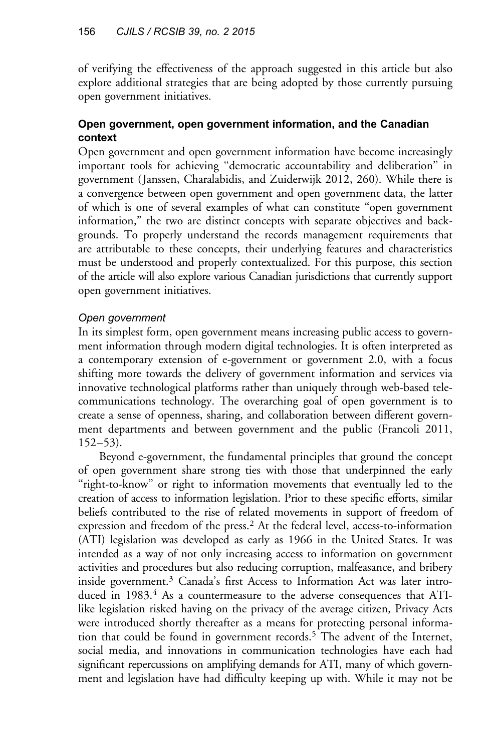of verifying the effectiveness of the approach suggested in this article but also explore additional strategies that are being adopted by those currently pursuing open government initiatives.

# Open government, open government information, and the Canadian context

Open government and open government information have become increasingly important tools for achieving ''democratic accountability and deliberation'' in government ([Janssen, Charalabidis, and Zuiderwijk 2012](#page-34-0), 260). While there is a convergence between open government and open government data, the latter of which is one of several examples of what can constitute ''open government information,'' the two are distinct concepts with separate objectives and backgrounds. To properly understand the records management requirements that are attributable to these concepts, their underlying features and characteristics must be understood and properly contextualized. For this purpose, this section of the article will also explore various Canadian jurisdictions that currently support open government initiatives.

# Open government

In its simplest form, open government means increasing public access to government information through modern digital technologies. It is often interpreted as a contemporary extension of e-government or government 2.0, with a focus shifting more towards the delivery of government information and services via innovative technological platforms rather than uniquely through web-based telecommunications technology. The overarching goal of open government is to create a sense of openness, sharing, and collaboration between different government departments and between government and the public ([Francoli 2011,](#page-34-0) 152–53).

Beyond e-government, the fundamental principles that ground the concept of open government share strong ties with those that underpinned the early "right-to-know" or right to information movements that eventually led to the creation of access to information legislation. Prior to these specific efforts, similar beliefs contributed to the rise of related movements in support of freedom of expression and freedom of the press.<sup>2</sup> At the federal level, access-to-information (ATI) legislation was developed as early as 1966 in the United States. It was intended as a way of not only increasing access to information on government activities and procedures but also reducing corruption, malfeasance, and bribery inside government.<sup>3</sup> Canada's first Access to Information Act was later introduced in 1983.<sup>4</sup> As a countermeasure to the adverse consequences that ATIlike legislation risked having on the privacy of the average citizen, Privacy Acts were introduced shortly thereafter as a means for protecting personal information that could be found in government records.<sup>5</sup> The advent of the Internet, social media, and innovations in communication technologies have each had significant repercussions on amplifying demands for ATI, many of which government and legislation have had difficulty keeping up with. While it may not be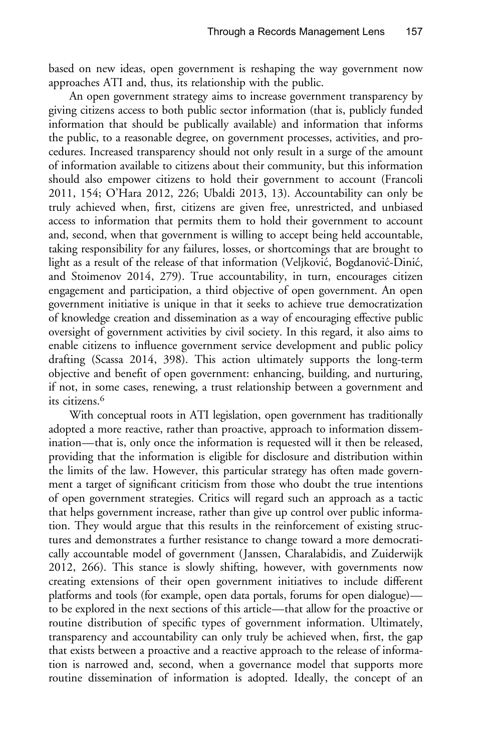based on new ideas, open government is reshaping the way government now approaches ATI and, thus, its relationship with the public.

An open government strategy aims to increase government transparency by giving citizens access to both public sector information (that is, publicly funded information that should be publically available) and information that informs the public, to a reasonable degree, on government processes, activities, and procedures. Increased transparency should not only result in a surge of the amount of information available to citizens about their community, but this information should also empower citizens to hold their government to account ([Francoli](#page-34-0) [2011,](#page-34-0) 154; [O'Hara 2012,](#page-35-0) 226; [Ubaldi 2013](#page-36-0), 13). Accountability can only be truly achieved when, first, citizens are given free, unrestricted, and unbiased access to information that permits them to hold their government to account and, second, when that government is willing to accept being held accountable, taking responsibility for any failures, losses, or shortcomings that are brought to light as a result of the release of that information (Veljković, Bogdanović-Dinić, [and Stoimenov 2014](#page-37-0), 279). True accountability, in turn, encourages citizen engagement and participation, a third objective of open government. An open government initiative is unique in that it seeks to achieve true democratization of knowledge creation and dissemination as a way of encouraging effective public oversight of government activities by civil society. In this regard, it also aims to enable citizens to influence government service development and public policy drafting [\(Scassa 2014,](#page-36-0) 398). This action ultimately supports the long-term objective and benefit of open government: enhancing, building, and nurturing, if not, in some cases, renewing, a trust relationship between a government and its citizens.6

With conceptual roots in ATI legislation, open government has traditionally adopted a more reactive, rather than proactive, approach to information dissemination—that is, only once the information is requested will it then be released, providing that the information is eligible for disclosure and distribution within the limits of the law. However, this particular strategy has often made government a target of significant criticism from those who doubt the true intentions of open government strategies. Critics will regard such an approach as a tactic that helps government increase, rather than give up control over public information. They would argue that this results in the reinforcement of existing structures and demonstrates a further resistance to change toward a more democratically accountable model of government ([Janssen, Charalabidis, and Zuiderwijk](#page-34-0) [2012,](#page-34-0) 266). This stance is slowly shifting, however, with governments now creating extensions of their open government initiatives to include different platforms and tools (for example, open data portals, forums for open dialogue) to be explored in the next sections of this article—that allow for the proactive or routine distribution of specific types of government information. Ultimately, transparency and accountability can only truly be achieved when, first, the gap that exists between a proactive and a reactive approach to the release of information is narrowed and, second, when a governance model that supports more routine dissemination of information is adopted. Ideally, the concept of an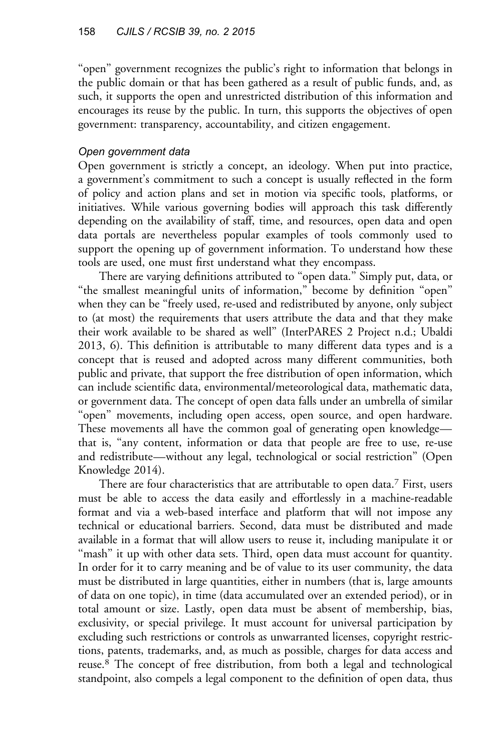"open" government recognizes the public's right to information that belongs in the public domain or that has been gathered as a result of public funds, and, as such, it supports the open and unrestricted distribution of this information and encourages its reuse by the public. In turn, this supports the objectives of open government: transparency, accountability, and citizen engagement.

#### Open government data

Open government is strictly a concept, an ideology. When put into practice, a government's commitment to such a concept is usually reflected in the form of policy and action plans and set in motion via specific tools, platforms, or initiatives. While various governing bodies will approach this task differently depending on the availability of staff, time, and resources, open data and open data portals are nevertheless popular examples of tools commonly used to support the opening up of government information. To understand how these tools are used, one must first understand what they encompass.

There are varying definitions attributed to ''open data.'' Simply put, data, or "the smallest meaningful units of information," become by definition "open" when they can be ''freely used, re-used and redistributed by anyone, only subject to (at most) the requirements that users attribute the data and that they make their work available to be shared as well'' ([InterPARES 2 Project n.d.](#page-34-0); [Ubaldi](#page-36-0) [2013](#page-36-0), 6). This definition is attributable to many different data types and is a concept that is reused and adopted across many different communities, both public and private, that support the free distribution of open information, which can include scientific data, environmental/meteorological data, mathematic data, or government data. The concept of open data falls under an umbrella of similar "open" movements, including open access, open source, and open hardware. These movements all have the common goal of generating open knowledge that is, ''any content, information or data that people are free to use, re-use and redistribute—without any legal, technological or social restriction'' [\(Open](#page-35-0) [Knowledge 2014](#page-35-0)).

There are four characteristics that are attributable to open data.<sup>7</sup> First, users must be able to access the data easily and effortlessly in a machine-readable format and via a web-based interface and platform that will not impose any technical or educational barriers. Second, data must be distributed and made available in a format that will allow users to reuse it, including manipulate it or "mash" it up with other data sets. Third, open data must account for quantity. In order for it to carry meaning and be of value to its user community, the data must be distributed in large quantities, either in numbers (that is, large amounts of data on one topic), in time (data accumulated over an extended period), or in total amount or size. Lastly, open data must be absent of membership, bias, exclusivity, or special privilege. It must account for universal participation by excluding such restrictions or controls as unwarranted licenses, copyright restrictions, patents, trademarks, and, as much as possible, charges for data access and reuse.<sup>8</sup> The concept of free distribution, from both a legal and technological standpoint, also compels a legal component to the definition of open data, thus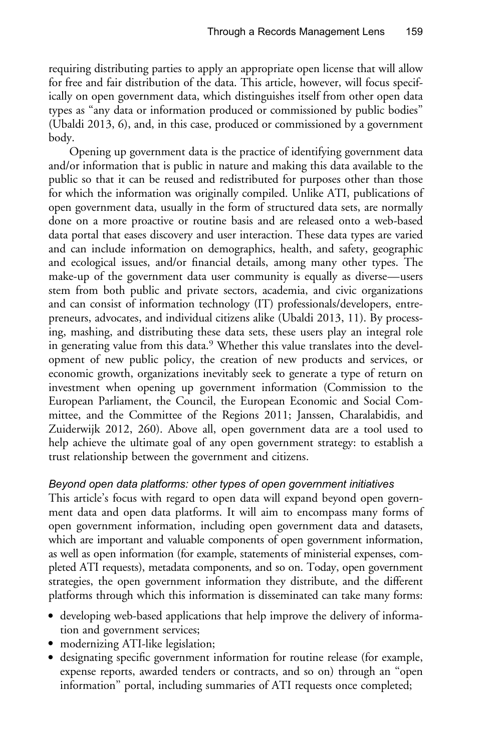requiring distributing parties to apply an appropriate open license that will allow for free and fair distribution of the data. This article, however, will focus specifically on open government data, which distinguishes itself from other open data types as ''any data or information produced or commissioned by public bodies'' [\(Ubaldi 2013](#page-36-0), 6), and, in this case, produced or commissioned by a government body.

Opening up government data is the practice of identifying government data and/or information that is public in nature and making this data available to the public so that it can be reused and redistributed for purposes other than those for which the information was originally compiled. Unlike ATI, publications of open government data, usually in the form of structured data sets, are normally done on a more proactive or routine basis and are released onto a web-based data portal that eases discovery and user interaction. These data types are varied and can include information on demographics, health, and safety, geographic and ecological issues, and/or financial details, among many other types. The make-up of the government data user community is equally as diverse—users stem from both public and private sectors, academia, and civic organizations and can consist of information technology (IT) professionals/developers, entrepreneurs, advocates, and individual citizens alike ([Ubaldi 2013](#page-36-0), 11). By processing, mashing, and distributing these data sets, these users play an integral role in generating value from this data.<sup>9</sup> Whether this value translates into the development of new public policy, the creation of new products and services, or economic growth, organizations inevitably seek to generate a type of return on investment when opening up government information (Commission to the European Parliament, the Council, the European Economic and Social Committee, and the Committee of the Regions 2011; [Janssen, Charalabidis, and](#page-34-0) [Zuiderwijk 2012,](#page-34-0) 260). Above all, open government data are a tool used to help achieve the ultimate goal of any open government strategy: to establish a trust relationship between the government and citizens.

#### Beyond open data platforms: other types of open government initiatives

This article's focus with regard to open data will expand beyond open government data and open data platforms. It will aim to encompass many forms of open government information, including open government data and datasets, which are important and valuable components of open government information, as well as open information (for example, statements of ministerial expenses, completed ATI requests), metadata components, and so on. Today, open government strategies, the open government information they distribute, and the different platforms through which this information is disseminated can take many forms:

- developing web-based applications that help improve the delivery of information and government services;
- modernizing ATI-like legislation;
- designating specific government information for routine release (for example, expense reports, awarded tenders or contracts, and so on) through an ''open information'' portal, including summaries of ATI requests once completed;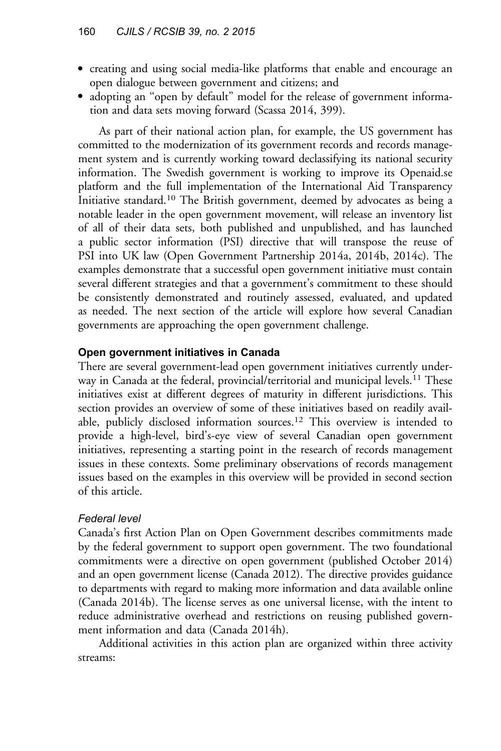- creating and using social media-like platforms that enable and encourage an open dialogue between government and citizens; and
- adopting an ''open by default'' model for the release of government information and data sets moving forward [\(Scassa 2014,](#page-36-0) 399).

As part of their national action plan, for example, the US government has committed to the modernization of its government records and records management system and is currently working toward declassifying its national security information. The Swedish government is working to improve its Openaid.se platform and the full implementation of the International Aid Transparency Initiative standard.<sup>10</sup> The British government, deemed by advocates as being a notable leader in the open government movement, will release an inventory list of all of their data sets, both published and unpublished, and has launched a public sector information (PSI) directive that will transpose the reuse of PSI into UK law [\(Open Government Partnership 2014a](#page-35-0), 2014b, 2014c). The examples demonstrate that a successful open government initiative must contain several different strategies and that a government's commitment to these should be consistently demonstrated and routinely assessed, evaluated, and updated as needed. The next section of the article will explore how several Canadian governments are approaching the open government challenge.

#### Open government initiatives in Canada

There are several government-lead open government initiatives currently underway in Canada at the federal, provincial/territorial and municipal levels.<sup>11</sup> These initiatives exist at different degrees of maturity in different jurisdictions. This section provides an overview of some of these initiatives based on readily available, publicly disclosed information sources.<sup>12</sup> This overview is intended to provide a high-level, bird's-eye view of several Canadian open government initiatives, representing a starting point in the research of records management issues in these contexts. Some preliminary observations of records management issues based on the examples in this overview will be provided in second section of this article.

#### Federal level

Canada's first Action Plan on Open Government describes commitments made by the federal government to support open government. The two foundational commitments were a directive on open government (published October 2014) and an open government license [\(Canada 2012](#page-33-0)). The directive provides guidance to departments with regard to making more information and data available online ([Canada 2014b\)](#page-33-0). The license serves as one universal license, with the intent to reduce administrative overhead and restrictions on reusing published government information and data (Canada 2014h).

Additional activities in this action plan are organized within three activity streams: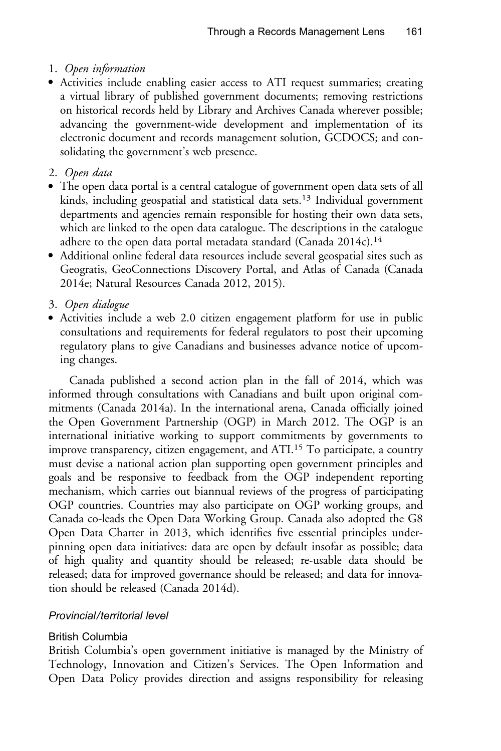- 1. Open information
- Activities include enabling easier access to ATI request summaries; creating a virtual library of published government documents; removing restrictions on historical records held by Library and Archives Canada wherever possible; advancing the government-wide development and implementation of its electronic document and records management solution, GCDOCS; and consolidating the government's web presence.
- 2. Open data
- The open data portal is a central catalogue of government open data sets of all kinds, including geospatial and statistical data sets.<sup>13</sup> Individual government departments and agencies remain responsible for hosting their own data sets, which are linked to the open data catalogue. The descriptions in the catalogue adhere to the open data portal metadata standard (Canada 2014c).<sup>14</sup>
- Additional online federal data resources include several geospatial sites such as Geogratis, GeoConnections Discovery Portal, and Atlas of Canada [\(Canada](#page-35-0) [2014e; Natural Resources Canada 2012, 2015](#page-35-0)).
- 3. Open dialogue
- Activities include a web 2.0 citizen engagement platform for use in public consultations and requirements for federal regulators to post their upcoming regulatory plans to give Canadians and businesses advance notice of upcoming changes.

Canada published a second action plan in the fall of 2014, which was informed through consultations with Canadians and built upon original commitments (Canada 2014a). In the international arena, Canada officially joined the Open Government Partnership (OGP) in March 2012. The OGP is an international initiative working to support commitments by governments to improve transparency, citizen engagement, and ATI.<sup>15</sup> To participate, a country must devise a national action plan supporting open government principles and goals and be responsive to feedback from the OGP independent reporting mechanism, which carries out biannual reviews of the progress of participating OGP countries. Countries may also participate on OGP working groups, and Canada co-leads the Open Data Working Group. Canada also adopted the G8 Open Data Charter in 2013, which identifies five essential principles underpinning open data initiatives: data are open by default insofar as possible; data of high quality and quantity should be released; re-usable data should be released; data for improved governance should be released; and data for innovation should be released (Canada 2014d).

# Provincial/territorial level

# British Columbia

British Columbia's open government initiative is managed by the Ministry of Technology, Innovation and Citizen's Services. The Open Information and Open Data Policy provides direction and assigns responsibility for releasing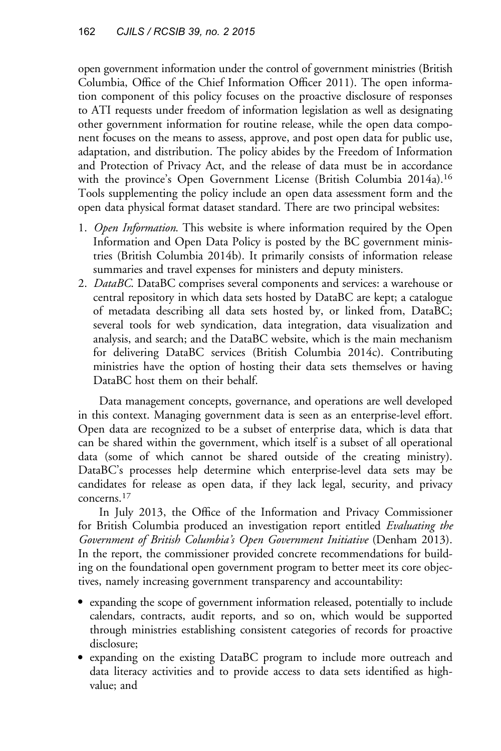open government information under the control of government ministries (British Columbia, Office of the Chief Information Officer 2011). The open information component of this policy focuses on the proactive disclosure of responses to ATI requests under freedom of information legislation as well as designating other government information for routine release, while the open data component focuses on the means to assess, approve, and post open data for public use, adaptation, and distribution. The policy abides by the Freedom of Information and Protection of Privacy Act, and the release of data must be in accordance with the province's Open Government License ([British Columbia 2014a](#page-33-0)).<sup>16</sup> Tools supplementing the policy include an open data assessment form and the open data physical format dataset standard. There are two principal websites:

- 1. Open Information. This website is where information required by the Open Information and Open Data Policy is posted by the BC government ministries [\(British Columbia 2014b](#page-33-0)). It primarily consists of information release summaries and travel expenses for ministers and deputy ministers.
- 2. DataBC. DataBC comprises several components and services: a warehouse or central repository in which data sets hosted by DataBC are kept; a catalogue of metadata describing all data sets hosted by, or linked from, DataBC; several tools for web syndication, data integration, data visualization and analysis, and search; and the DataBC website, which is the main mechanism for delivering DataBC services ([British Columbia 2014c](#page-33-0)). Contributing ministries have the option of hosting their data sets themselves or having DataBC host them on their behalf.

Data management concepts, governance, and operations are well developed in this context. Managing government data is seen as an enterprise-level effort. Open data are recognized to be a subset of enterprise data, which is data that can be shared within the government, which itself is a subset of all operational data (some of which cannot be shared outside of the creating ministry). DataBC's processes help determine which enterprise-level data sets may be candidates for release as open data, if they lack legal, security, and privacy concerns.<sup>17</sup>

In July 2013, the Office of the Information and Privacy Commissioner for British Columbia produced an investigation report entitled Evaluating the Government of British Columbia's Open Government Initiative [\(Denham 2013](#page-33-0)). In the report, the commissioner provided concrete recommendations for building on the foundational open government program to better meet its core objectives, namely increasing government transparency and accountability:

- expanding the scope of government information released, potentially to include calendars, contracts, audit reports, and so on, which would be supported through ministries establishing consistent categories of records for proactive disclosure;
- expanding on the existing DataBC program to include more outreach and data literacy activities and to provide access to data sets identified as highvalue; and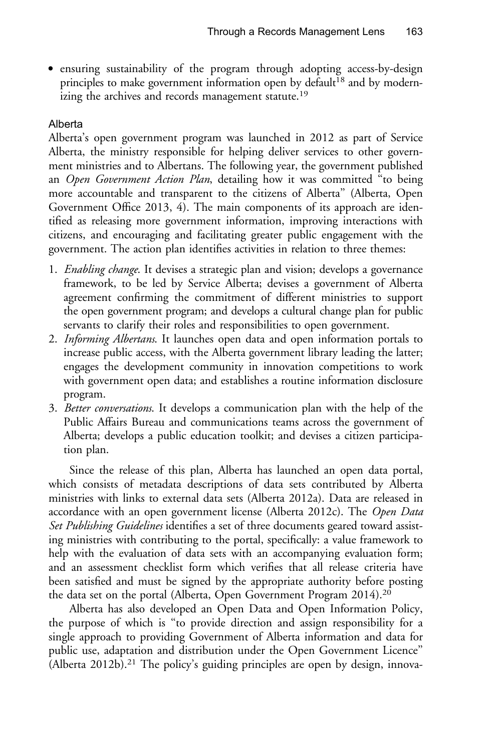- ensuring sustainability of the program through adopting access-by-design principles to make government information open by default<sup>18</sup> and by modernizing the archives and records management statute.<sup>19</sup>

# Alberta

Alberta's open government program was launched in 2012 as part of Service Alberta, the ministry responsible for helping deliver services to other government ministries and to Albertans. The following year, the government published an Open Government Action Plan, detailing how it was committed "to being more accountable and transparent to the citizens of Alberta'' [\(Alberta, Open](#page-32-0) [Government Office 2013,](#page-32-0) 4). The main components of its approach are identified as releasing more government information, improving interactions with citizens, and encouraging and facilitating greater public engagement with the government. The action plan identifies activities in relation to three themes:

- 1. *Enabling change*. It devises a strategic plan and vision; develops a governance framework, to be led by Service Alberta; devises a government of Alberta agreement confirming the commitment of different ministries to support the open government program; and develops a cultural change plan for public servants to clarify their roles and responsibilities to open government.
- 2. Informing Albertans. It launches open data and open information portals to increase public access, with the Alberta government library leading the latter; engages the development community in innovation competitions to work with government open data; and establishes a routine information disclosure program.
- 3. *Better conversations*. It develops a communication plan with the help of the Public Affairs Bureau and communications teams across the government of Alberta; develops a public education toolkit; and devises a citizen participation plan.

Since the release of this plan, Alberta has launched an open data portal, which consists of metadata descriptions of data sets contributed by Alberta ministries with links to external data sets [\(Alberta 2012a](#page-32-0)). Data are released in accordance with an open government license ([Alberta 2012c](#page-32-0)). The Open Data Set Publishing Guidelines identifies a set of three documents geared toward assisting ministries with contributing to the portal, specifically: a value framework to help with the evaluation of data sets with an accompanying evaluation form; and an assessment checklist form which verifies that all release criteria have been satisfied and must be signed by the appropriate authority before posting the data set on the portal [\(Alberta, Open Government Program 2014\)](#page-33-0).20

Alberta has also developed an Open Data and Open Information Policy, the purpose of which is ''to provide direction and assign responsibility for a single approach to providing Government of Alberta information and data for public use, adaptation and distribution under the Open Government Licence'' [\(Alberta 2012b\)](#page-32-0).21 The policy's guiding principles are open by design, innova-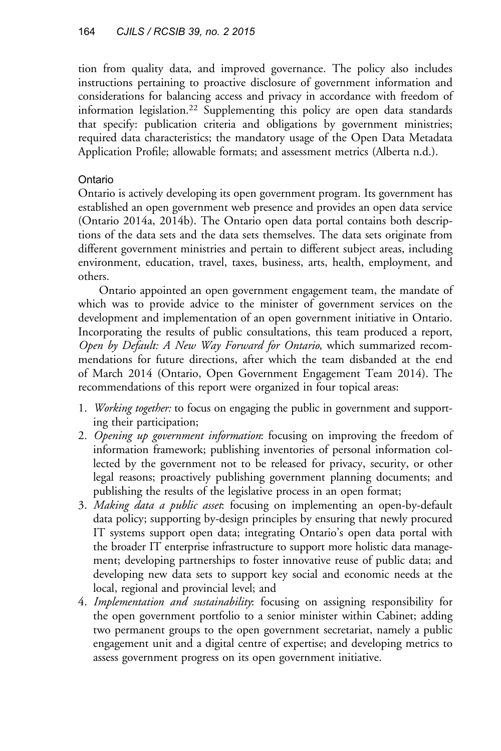tion from quality data, and improved governance. The policy also includes instructions pertaining to proactive disclosure of government information and considerations for balancing access and privacy in accordance with freedom of information legislation.22 Supplementing this policy are open data standards that specify: publication criteria and obligations by government ministries; required data characteristics; the mandatory usage of the Open Data Metadata Application Profile; allowable formats; and assessment metrics [\(Alberta n.d.](#page-32-0)).

## Ontario

Ontario is actively developing its open government program. Its government has established an open government web presence and provides an open data service ([Ontario 2014a, 2014b\)](#page-35-0). The Ontario open data portal contains both descriptions of the data sets and the data sets themselves. The data sets originate from different government ministries and pertain to different subject areas, including environment, education, travel, taxes, business, arts, health, employment, and others.

Ontario appointed an open government engagement team, the mandate of which was to provide advice to the minister of government services on the development and implementation of an open government initiative in Ontario. Incorporating the results of public consultations, this team produced a report, Open by Default: A New Way Forward for Ontario, which summarized recommendations for future directions, after which the team disbanded at the end of March 2014 (Ontario, Open Government Engagement Team 2014). The recommendations of this report were organized in four topical areas:

- 1. Working together: to focus on engaging the public in government and supporting their participation;
- 2. Opening up government information: focusing on improving the freedom of information framework; publishing inventories of personal information collected by the government not to be released for privacy, security, or other legal reasons; proactively publishing government planning documents; and publishing the results of the legislative process in an open format;
- 3. Making data a public asset: focusing on implementing an open-by-default data policy; supporting by-design principles by ensuring that newly procured IT systems support open data; integrating Ontario's open data portal with the broader IT enterprise infrastructure to support more holistic data management; developing partnerships to foster innovative reuse of public data; and developing new data sets to support key social and economic needs at the local, regional and provincial level; and
- 4. Implementation and sustainability: focusing on assigning responsibility for the open government portfolio to a senior minister within Cabinet; adding two permanent groups to the open government secretariat, namely a public engagement unit and a digital centre of expertise; and developing metrics to assess government progress on its open government initiative.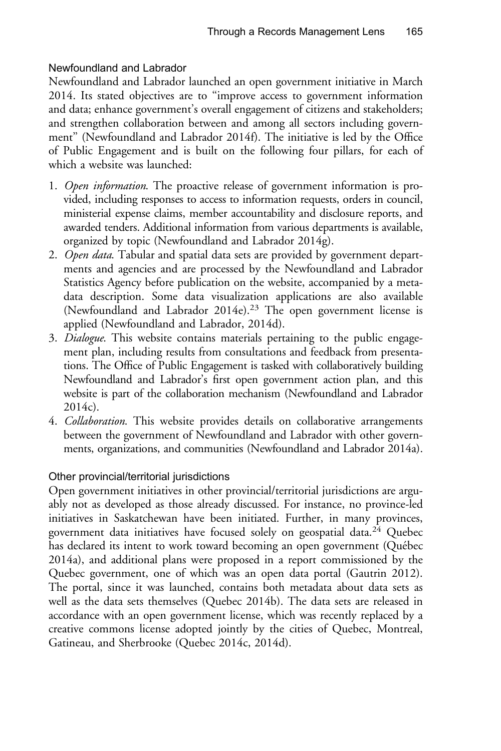# Newfoundland and Labrador

Newfoundland and Labrador launched an open government initiative in March 2014. Its stated objectives are to ''improve access to government information and data; enhance government's overall engagement of citizens and stakeholders; and strengthen collaboration between and among all sectors including government'' (Newfoundland and Labrador 2014f). The initiative is led by the Office of Public Engagement and is built on the following four pillars, for each of which a website was launched:

- 1. Open information. The proactive release of government information is provided, including responses to access to information requests, orders in council, ministerial expense claims, member accountability and disclosure reports, and awarded tenders. Additional information from various departments is available, organized by topic (Newfoundland and Labrador 2014g).
- 2. Open data. Tabular and spatial data sets are provided by government departments and agencies and are processed by the Newfoundland and Labrador Statistics Agency before publication on the website, accompanied by a metadata description. Some data visualization applications are also available (Newfoundland and Labrador 2014e).<sup>23</sup> The open government license is applied (Newfoundland and Labrador, 2014d).
- 3. Dialogue. This website contains materials pertaining to the public engagement plan, including results from consultations and feedback from presentations. The Office of Public Engagement is tasked with collaboratively building Newfoundland and Labrador's first open government action plan, and this website is part of the collaboration mechanism (Newfoundland and Labrador 2014c).
- 4. Collaboration. This website provides details on collaborative arrangements between the government of Newfoundland and Labrador with other governments, organizations, and communities [\(Newfoundland and Labrador 2014a\)](#page-35-0).

# Other provincial/territorial jurisdictions

Open government initiatives in other provincial/territorial jurisdictions are arguably not as developed as those already discussed. For instance, no province-led initiatives in Saskatchewan have been initiated. Further, in many provinces, government data initiatives have focused solely on geospatial data.<sup>24</sup> Quebec has declared its intent to work toward becoming an open government (Québec [2014a\)](#page-35-0), and additional plans were proposed in a report commissioned by the Quebec government, one of which was an open data portal ([Gautrin 2012\)](#page-34-0). The portal, since it was launched, contains both metadata about data sets as well as the data sets themselves (Quebec 2014b). The data sets are released in accordance with an open government license, which was recently replaced by a creative commons license adopted jointly by the cities of Quebec, Montreal, Gatineau, and Sherbrooke (Quebec 2014c, 2014d).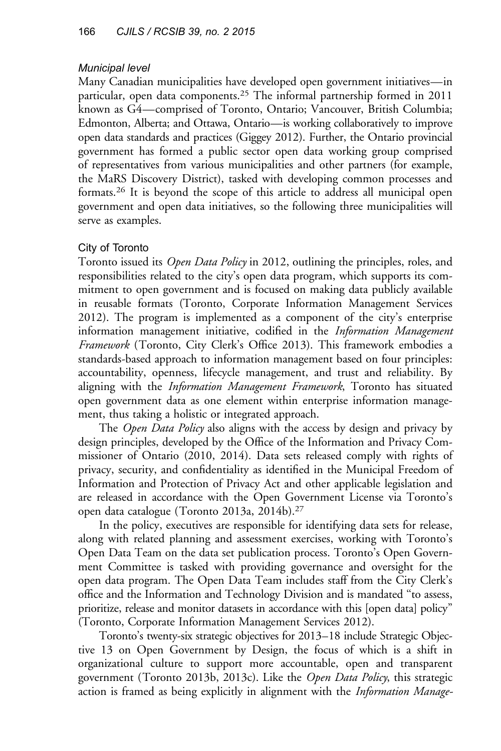#### Municipal level

Many Canadian municipalities have developed open government initiatives—in particular, open data components.25 The informal partnership formed in 2011 known as G4—comprised of Toronto, Ontario; Vancouver, British Columbia; Edmonton, Alberta; and Ottawa, Ontario—is working collaboratively to improve open data standards and practices [\(Giggey 2012\)](#page-34-0). Further, the Ontario provincial government has formed a public sector open data working group comprised of representatives from various municipalities and other partners (for example, the MaRS Discovery District), tasked with developing common processes and formats.<sup>26</sup> It is beyond the scope of this article to address all municipal open government and open data initiatives, so the following three municipalities will serve as examples.

#### City of Toronto

Toronto issued its Open Data Policy in 2012, outlining the principles, roles, and responsibilities related to the city's open data program, which supports its commitment to open government and is focused on making data publicly available in reusable formats ([Toronto, Corporate Information Management Services](#page-36-0) [2012](#page-36-0)). The program is implemented as a component of the city's enterprise information management initiative, codified in the Information Management Framework (Toronto, City Clerk's Office 2013). This framework embodies a standards-based approach to information management based on four principles: accountability, openness, lifecycle management, and trust and reliability. By aligning with the Information Management Framework, Toronto has situated open government data as one element within enterprise information management, thus taking a holistic or integrated approach.

The Open Data Policy also aligns with the access by design and privacy by design principles, developed by the Office of the Information and Privacy Commissioner of [Ontario \(2010, 2014\)](#page-35-0). Data sets released comply with rights of privacy, security, and confidentiality as identified in the Municipal Freedom of Information and Protection of Privacy Act and other applicable legislation and are released in accordance with the Open Government License via Toronto's open data catalogue (Toronto 2013a, 2014b).27

In the policy, executives are responsible for identifying data sets for release, along with related planning and assessment exercises, working with Toronto's Open Data Team on the data set publication process. Toronto's Open Government Committee is tasked with providing governance and oversight for the open data program. The Open Data Team includes staff from the City Clerk's office and the Information and Technology Division and is mandated ''to assess, prioritize, release and monitor datasets in accordance with this [open data] policy'' ([Toronto, Corporate Information Management Services 2012](#page-36-0)).

Toronto's twenty-six strategic objectives for 2013–18 include Strategic Objective 13 on Open Government by Design, the focus of which is a shift in organizational culture to support more accountable, open and transparent government (Toronto 2013b, 2013c). Like the Open Data Policy, this strategic action is framed as being explicitly in alignment with the *Information Manage-*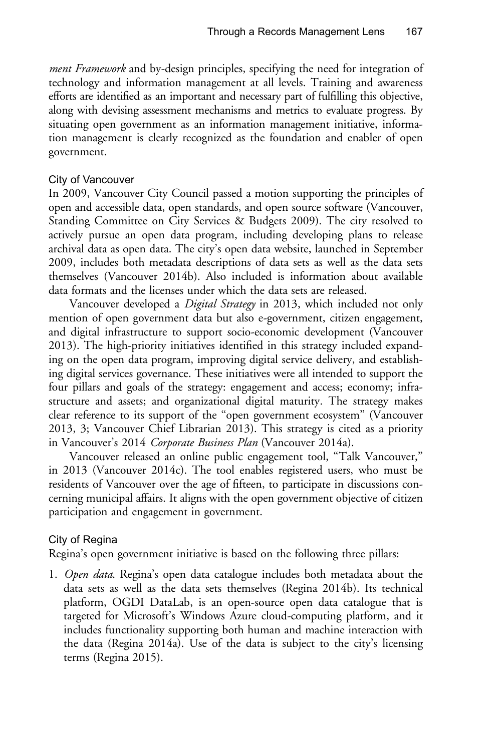ment Framework and by-design principles, specifying the need for integration of technology and information management at all levels. Training and awareness efforts are identified as an important and necessary part of fulfilling this objective, along with devising assessment mechanisms and metrics to evaluate progress. By situating open government as an information management initiative, information management is clearly recognized as the foundation and enabler of open government.

#### City of Vancouver

In 2009, Vancouver City Council passed a motion supporting the principles of open and accessible data, open standards, and open source software (Vancouver, Standing Committee on City Services & Budgets 2009). The city resolved to actively pursue an open data program, including developing plans to release archival data as open data. The city's open data website, launched in September 2009, includes both metadata descriptions of data sets as well as the data sets themselves (Vancouver 2014b). Also included is information about available data formats and the licenses under which the data sets are released.

Vancouver developed a *Digital Strategy* in 2013, which included not only mention of open government data but also e-government, citizen engagement, and digital infrastructure to support socio-economic development ([Vancouver](#page-36-0) [2013\)](#page-36-0). The high-priority initiatives identified in this strategy included expanding on the open data program, improving digital service delivery, and establishing digital services governance. These initiatives were all intended to support the four pillars and goals of the strategy: engagement and access; economy; infrastructure and assets; and organizational digital maturity. The strategy makes clear reference to its support of the ''open government ecosystem'' ([Vancouver](#page-36-0) [2013,](#page-36-0) 3; [Vancouver Chief Librarian 2013\)](#page-37-0). This strategy is cited as a priority in Vancouver's 2014 Corporate Business Plan (Vancouver 2014a).

Vancouver released an online public engagement tool, ''Talk Vancouver,'' in 2013 (Vancouver 2014c). The tool enables registered users, who must be residents of Vancouver over the age of fifteen, to participate in discussions concerning municipal affairs. It aligns with the open government objective of citizen participation and engagement in government.

#### City of Regina

Regina's open government initiative is based on the following three pillars:

1. Open data. Regina's open data catalogue includes both metadata about the data sets as well as the data sets themselves (Regina 2014b). Its technical platform, OGDI DataLab, is an open-source open data catalogue that is targeted for Microsoft's Windows Azure cloud-computing platform, and it includes functionality supporting both human and machine interaction with the data [\(Regina 2014a\)](#page-36-0). Use of the data is subject to the city's licensing terms (Regina 2015).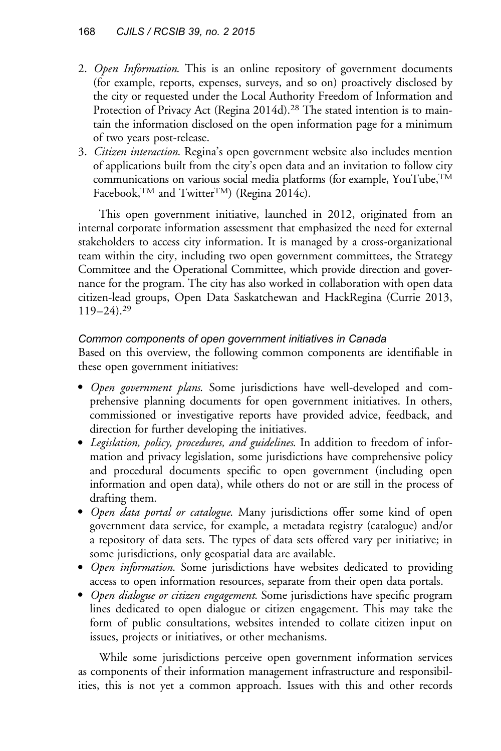- 2. Open Information. This is an online repository of government documents (for example, reports, expenses, surveys, and so on) proactively disclosed by the city or requested under the Local Authority Freedom of Information and Protection of Privacy Act (Regina 2014d).<sup>28</sup> The stated intention is to maintain the information disclosed on the open information page for a minimum of two years post-release.
- 3. Citizen interaction. Regina's open government website also includes mention of applications built from the city's open data and an invitation to follow city communications on various social media platforms (for example, YouTube,TM Facebook,  $^{TM}$  and Twitter<sup>TM</sup>) (Regina 2014c).

This open government initiative, launched in 2012, originated from an internal corporate information assessment that emphasized the need for external stakeholders to access city information. It is managed by a cross-organizational team within the city, including two open government committees, the Strategy Committee and the Operational Committee, which provide direction and governance for the program. The city has also worked in collaboration with open data citizen-lead groups, Open Data Saskatchewan and HackRegina [\(Currie 2013,](#page-33-0) 119–24).29

## Common components of open government initiatives in Canada

Based on this overview, the following common components are identifiable in these open government initiatives:

- · Open government plans. Some jurisdictions have well-developed and comprehensive planning documents for open government initiatives. In others, commissioned or investigative reports have provided advice, feedback, and direction for further developing the initiatives.
- Legislation, policy, procedures, and guidelines. In addition to freedom of information and privacy legislation, some jurisdictions have comprehensive policy and procedural documents specific to open government (including open information and open data), while others do not or are still in the process of drafting them.
- Open data portal or catalogue. Many jurisdictions offer some kind of open government data service, for example, a metadata registry (catalogue) and/or a repository of data sets. The types of data sets offered vary per initiative; in some jurisdictions, only geospatial data are available.
- Open information. Some jurisdictions have websites dedicated to providing access to open information resources, separate from their open data portals.
- Open dialogue or citizen engagement. Some jurisdictions have specific program lines dedicated to open dialogue or citizen engagement. This may take the form of public consultations, websites intended to collate citizen input on issues, projects or initiatives, or other mechanisms.

While some jurisdictions perceive open government information services as components of their information management infrastructure and responsibilities, this is not yet a common approach. Issues with this and other records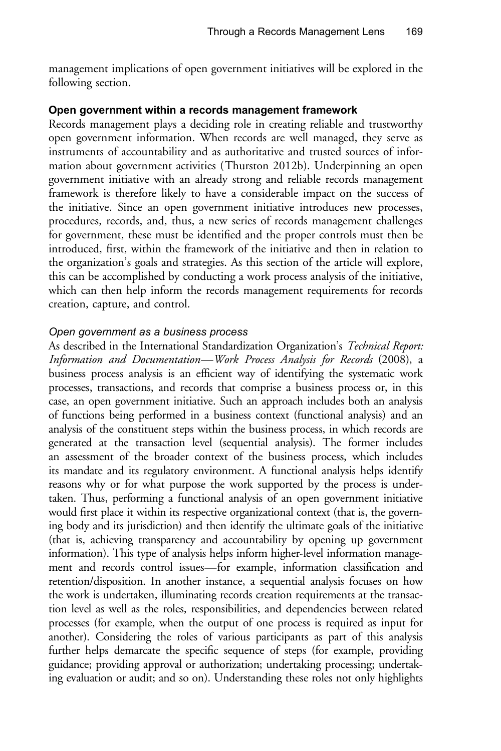management implications of open government initiatives will be explored in the following section.

#### Open government within a records management framework

Records management plays a deciding role in creating reliable and trustworthy open government information. When records are well managed, they serve as instruments of accountability and as authoritative and trusted sources of information about government activities (Thurston 2012b). Underpinning an open government initiative with an already strong and reliable records management framework is therefore likely to have a considerable impact on the success of the initiative. Since an open government initiative introduces new processes, procedures, records, and, thus, a new series of records management challenges for government, these must be identified and the proper controls must then be introduced, first, within the framework of the initiative and then in relation to the organization's goals and strategies. As this section of the article will explore, this can be accomplished by conducting a work process analysis of the initiative, which can then help inform the records management requirements for records creation, capture, and control.

#### Open government as a business process

As described in the International Standardization Organization's Technical Report: Information and Documentation—Work Process Analysis for Records (2008), a business process analysis is an efficient way of identifying the systematic work processes, transactions, and records that comprise a business process or, in this case, an open government initiative. Such an approach includes both an analysis of functions being performed in a business context (functional analysis) and an analysis of the constituent steps within the business process, in which records are generated at the transaction level (sequential analysis). The former includes an assessment of the broader context of the business process, which includes its mandate and its regulatory environment. A functional analysis helps identify reasons why or for what purpose the work supported by the process is undertaken. Thus, performing a functional analysis of an open government initiative would first place it within its respective organizational context (that is, the governing body and its jurisdiction) and then identify the ultimate goals of the initiative (that is, achieving transparency and accountability by opening up government information). This type of analysis helps inform higher-level information management and records control issues—for example, information classification and retention/disposition. In another instance, a sequential analysis focuses on how the work is undertaken, illuminating records creation requirements at the transaction level as well as the roles, responsibilities, and dependencies between related processes (for example, when the output of one process is required as input for another). Considering the roles of various participants as part of this analysis further helps demarcate the specific sequence of steps (for example, providing guidance; providing approval or authorization; undertaking processing; undertaking evaluation or audit; and so on). Understanding these roles not only highlights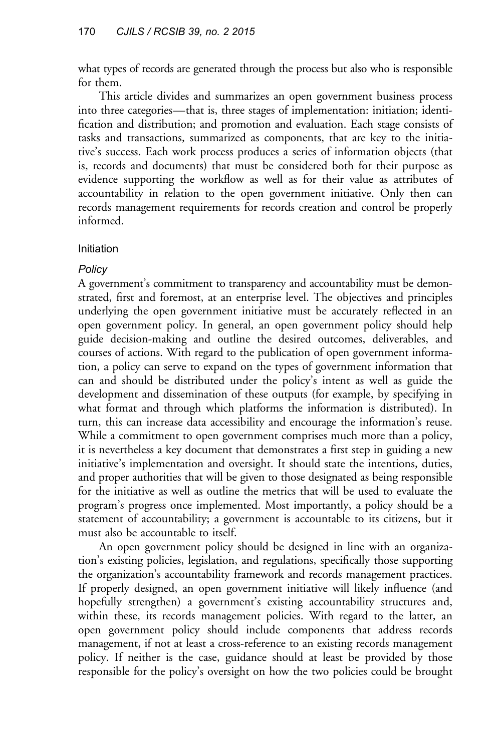what types of records are generated through the process but also who is responsible for them.

This article divides and summarizes an open government business process into three categories—that is, three stages of implementation: initiation; identification and distribution; and promotion and evaluation. Each stage consists of tasks and transactions, summarized as components, that are key to the initiative's success. Each work process produces a series of information objects (that is, records and documents) that must be considered both for their purpose as evidence supporting the workflow as well as for their value as attributes of accountability in relation to the open government initiative. Only then can records management requirements for records creation and control be properly informed.

#### Initiation

#### **Policy**

A government's commitment to transparency and accountability must be demonstrated, first and foremost, at an enterprise level. The objectives and principles underlying the open government initiative must be accurately reflected in an open government policy. In general, an open government policy should help guide decision-making and outline the desired outcomes, deliverables, and courses of actions. With regard to the publication of open government information, a policy can serve to expand on the types of government information that can and should be distributed under the policy's intent as well as guide the development and dissemination of these outputs (for example, by specifying in what format and through which platforms the information is distributed). In turn, this can increase data accessibility and encourage the information's reuse. While a commitment to open government comprises much more than a policy, it is nevertheless a key document that demonstrates a first step in guiding a new initiative's implementation and oversight. It should state the intentions, duties, and proper authorities that will be given to those designated as being responsible for the initiative as well as outline the metrics that will be used to evaluate the program's progress once implemented. Most importantly, a policy should be a statement of accountability; a government is accountable to its citizens, but it must also be accountable to itself.

An open government policy should be designed in line with an organization's existing policies, legislation, and regulations, specifically those supporting the organization's accountability framework and records management practices. If properly designed, an open government initiative will likely influence (and hopefully strengthen) a government's existing accountability structures and, within these, its records management policies. With regard to the latter, an open government policy should include components that address records management, if not at least a cross-reference to an existing records management policy. If neither is the case, guidance should at least be provided by those responsible for the policy's oversight on how the two policies could be brought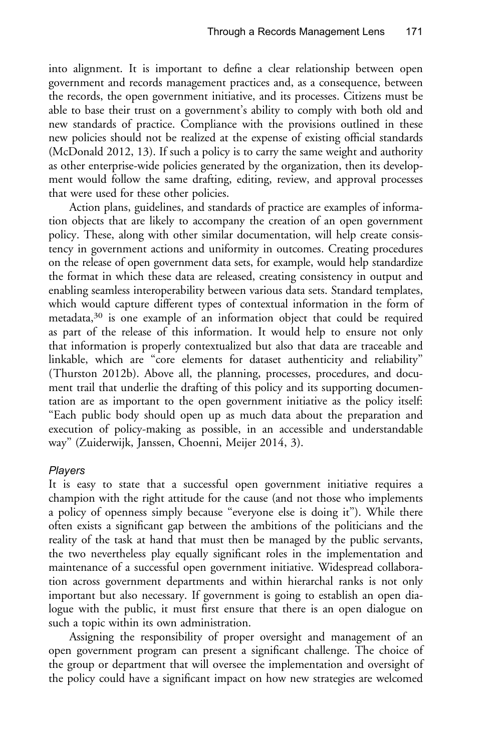into alignment. It is important to define a clear relationship between open government and records management practices and, as a consequence, between the records, the open government initiative, and its processes. Citizens must be able to base their trust on a government's ability to comply with both old and new standards of practice. Compliance with the provisions outlined in these new policies should not be realized at the expense of existing official standards [\(McDonald 2012,](#page-34-0) 13). If such a policy is to carry the same weight and authority as other enterprise-wide policies generated by the organization, then its development would follow the same drafting, editing, review, and approval processes that were used for these other policies.

Action plans, guidelines, and standards of practice are examples of information objects that are likely to accompany the creation of an open government policy. These, along with other similar documentation, will help create consistency in government actions and uniformity in outcomes. Creating procedures on the release of open government data sets, for example, would help standardize the format in which these data are released, creating consistency in output and enabling seamless interoperability between various data sets. Standard templates, which would capture different types of contextual information in the form of metadata,<sup>30</sup> is one example of an information object that could be required as part of the release of this information. It would help to ensure not only that information is properly contextualized but also that data are traceable and linkable, which are ''core elements for dataset authenticity and reliability'' (Thurston 2012b). Above all, the planning, processes, procedures, and document trail that underlie the drafting of this policy and its supporting documentation are as important to the open government initiative as the policy itself: ''Each public body should open up as much data about the preparation and execution of policy-making as possible, in an accessible and understandable way'' (Zuiderwijk, Janssen, Choenni, Meijer 2014, 3).

#### Players

It is easy to state that a successful open government initiative requires a champion with the right attitude for the cause (and not those who implements a policy of openness simply because "everyone else is doing it"). While there often exists a significant gap between the ambitions of the politicians and the reality of the task at hand that must then be managed by the public servants, the two nevertheless play equally significant roles in the implementation and maintenance of a successful open government initiative. Widespread collaboration across government departments and within hierarchal ranks is not only important but also necessary. If government is going to establish an open dialogue with the public, it must first ensure that there is an open dialogue on such a topic within its own administration.

Assigning the responsibility of proper oversight and management of an open government program can present a significant challenge. The choice of the group or department that will oversee the implementation and oversight of the policy could have a significant impact on how new strategies are welcomed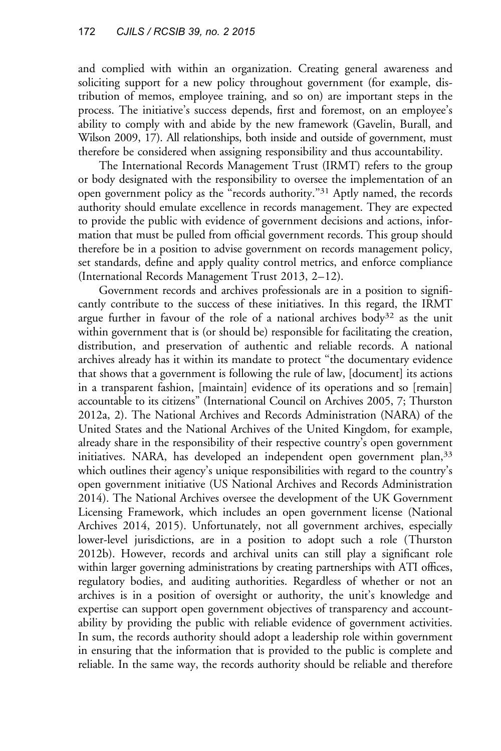and complied with within an organization. Creating general awareness and soliciting support for a new policy throughout government (for example, distribution of memos, employee training, and so on) are important steps in the process. The initiative's success depends, first and foremost, on an employee's ability to comply with and abide by the new framework [\(Gavelin, Burall, and](#page-34-0) [Wilson 2009,](#page-34-0) 17). All relationships, both inside and outside of government, must therefore be considered when assigning responsibility and thus accountability.

The International Records Management Trust (IRMT) refers to the group or body designated with the responsibility to oversee the implementation of an open government policy as the ''records authority.''31 Aptly named, the records authority should emulate excellence in records management. They are expected to provide the public with evidence of government decisions and actions, information that must be pulled from official government records. This group should therefore be in a position to advise government on records management policy, set standards, define and apply quality control metrics, and enforce compliance ([International Records Management Trust 2013,](#page-34-0) 2–12).

Government records and archives professionals are in a position to significantly contribute to the success of these initiatives. In this regard, the IRMT argue further in favour of the role of a national archives body<sup>32</sup> as the unit within government that is (or should be) responsible for facilitating the creation, distribution, and preservation of authentic and reliable records. A national archives already has it within its mandate to protect ''the documentary evidence that shows that a government is following the rule of law, [document] its actions in a transparent fashion, [maintain] evidence of its operations and so [remain] accountable to its citizens'' ([International Council on Archives 2005,](#page-34-0) 7; [Thurston](#page-36-0) [2012a](#page-36-0), 2). The National Archives and Records Administration (NARA) of the United States and the National Archives of the United Kingdom, for example, already share in the responsibility of their respective country's open government initiatives. NARA, has developed an independent open government plan,<sup>33</sup> which outlines their agency's unique responsibilities with regard to the country's open government initiative ([US National Archives and Records Administration](#page-36-0) [2014](#page-36-0)). The National Archives oversee the development of the UK Government Licensing Framework, which includes an open government license (National Archives 2014, 2015). Unfortunately, not all government archives, especially lower-level jurisdictions, are in a position to adopt such a role (Thurston 2012b). However, records and archival units can still play a significant role within larger governing administrations by creating partnerships with ATI offices, regulatory bodies, and auditing authorities. Regardless of whether or not an archives is in a position of oversight or authority, the unit's knowledge and expertise can support open government objectives of transparency and accountability by providing the public with reliable evidence of government activities. In sum, the records authority should adopt a leadership role within government in ensuring that the information that is provided to the public is complete and reliable. In the same way, the records authority should be reliable and therefore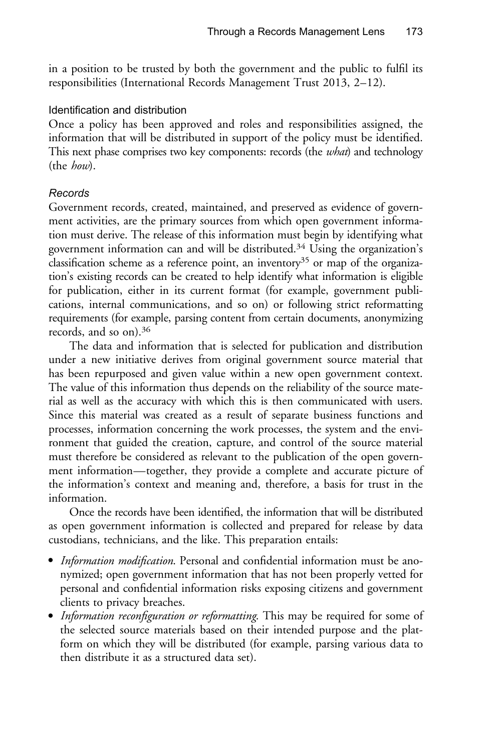in a position to be trusted by both the government and the public to fulfil its responsibilities [\(International Records Management Trust 2013](#page-34-0), 2–12).

## Identification and distribution

Once a policy has been approved and roles and responsibilities assigned, the information that will be distributed in support of the policy must be identified. This next phase comprises two key components: records (the *what*) and technology (the how).

# Records

Government records, created, maintained, and preserved as evidence of government activities, are the primary sources from which open government information must derive. The release of this information must begin by identifying what government information can and will be distributed.<sup>34</sup> Using the organization's classification scheme as a reference point, an inventory<sup>35</sup> or map of the organization's existing records can be created to help identify what information is eligible for publication, either in its current format (for example, government publications, internal communications, and so on) or following strict reformatting requirements (for example, parsing content from certain documents, anonymizing records, and so on).36

The data and information that is selected for publication and distribution under a new initiative derives from original government source material that has been repurposed and given value within a new open government context. The value of this information thus depends on the reliability of the source material as well as the accuracy with which this is then communicated with users. Since this material was created as a result of separate business functions and processes, information concerning the work processes, the system and the environment that guided the creation, capture, and control of the source material must therefore be considered as relevant to the publication of the open government information—together, they provide a complete and accurate picture of the information's context and meaning and, therefore, a basis for trust in the information.

Once the records have been identified, the information that will be distributed as open government information is collected and prepared for release by data custodians, technicians, and the like. This preparation entails:

- Information modification. Personal and confidential information must be anonymized; open government information that has not been properly vetted for personal and confidential information risks exposing citizens and government clients to privacy breaches.
- Information reconfiguration or reformatting. This may be required for some of the selected source materials based on their intended purpose and the platform on which they will be distributed (for example, parsing various data to then distribute it as a structured data set).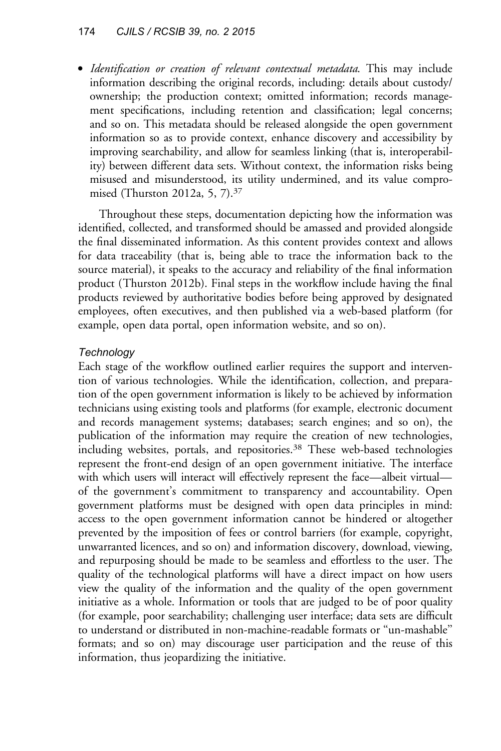• Identification or creation of relevant contextual metadata. This may include information describing the original records, including: details about custody/ ownership; the production context; omitted information; records management specifications, including retention and classification; legal concerns; and so on. This metadata should be released alongside the open government information so as to provide context, enhance discovery and accessibility by improving searchability, and allow for seamless linking (that is, interoperability) between different data sets. Without context, the information risks being misused and misunderstood, its utility undermined, and its value compro-mised [\(Thurston 2012a](#page-36-0), 5, 7).<sup>37</sup>

Throughout these steps, documentation depicting how the information was identified, collected, and transformed should be amassed and provided alongside the final disseminated information. As this content provides context and allows for data traceability (that is, being able to trace the information back to the source material), it speaks to the accuracy and reliability of the final information product (Thurston 2012b). Final steps in the workflow include having the final products reviewed by authoritative bodies before being approved by designated employees, often executives, and then published via a web-based platform (for example, open data portal, open information website, and so on).

## **Technology**

Each stage of the workflow outlined earlier requires the support and intervention of various technologies. While the identification, collection, and preparation of the open government information is likely to be achieved by information technicians using existing tools and platforms (for example, electronic document and records management systems; databases; search engines; and so on), the publication of the information may require the creation of new technologies, including websites, portals, and repositories.<sup>38</sup> These web-based technologies represent the front-end design of an open government initiative. The interface with which users will interact will effectively represent the face—albeit virtual of the government's commitment to transparency and accountability. Open government platforms must be designed with open data principles in mind: access to the open government information cannot be hindered or altogether prevented by the imposition of fees or control barriers (for example, copyright, unwarranted licences, and so on) and information discovery, download, viewing, and repurposing should be made to be seamless and effortless to the user. The quality of the technological platforms will have a direct impact on how users view the quality of the information and the quality of the open government initiative as a whole. Information or tools that are judged to be of poor quality (for example, poor searchability; challenging user interface; data sets are difficult to understand or distributed in non-machine-readable formats or ''un-mashable'' formats; and so on) may discourage user participation and the reuse of this information, thus jeopardizing the initiative.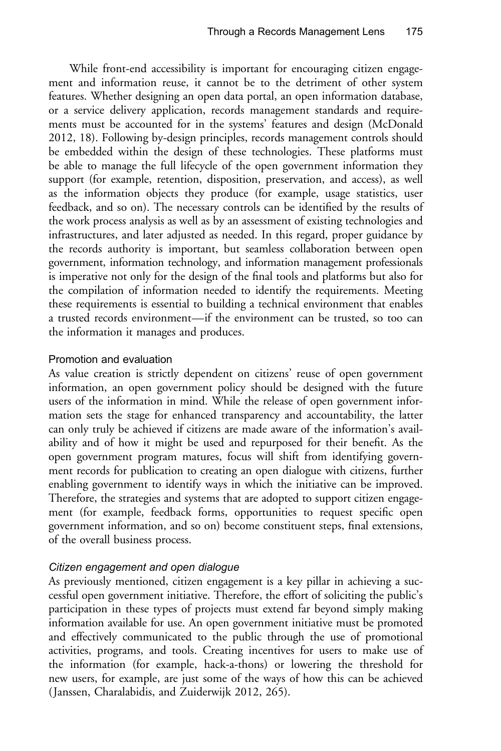While front-end accessibility is important for encouraging citizen engagement and information reuse, it cannot be to the detriment of other system features. Whether designing an open data portal, an open information database, or a service delivery application, records management standards and requirements must be accounted for in the systems' features and design ([McDonald](#page-34-0) [2012,](#page-34-0) 18). Following by-design principles, records management controls should be embedded within the design of these technologies. These platforms must be able to manage the full lifecycle of the open government information they support (for example, retention, disposition, preservation, and access), as well as the information objects they produce (for example, usage statistics, user feedback, and so on). The necessary controls can be identified by the results of the work process analysis as well as by an assessment of existing technologies and infrastructures, and later adjusted as needed. In this regard, proper guidance by the records authority is important, but seamless collaboration between open government, information technology, and information management professionals is imperative not only for the design of the final tools and platforms but also for the compilation of information needed to identify the requirements. Meeting these requirements is essential to building a technical environment that enables a trusted records environment—if the environment can be trusted, so too can the information it manages and produces.

#### Promotion and evaluation

As value creation is strictly dependent on citizens' reuse of open government information, an open government policy should be designed with the future users of the information in mind. While the release of open government information sets the stage for enhanced transparency and accountability, the latter can only truly be achieved if citizens are made aware of the information's availability and of how it might be used and repurposed for their benefit. As the open government program matures, focus will shift from identifying government records for publication to creating an open dialogue with citizens, further enabling government to identify ways in which the initiative can be improved. Therefore, the strategies and systems that are adopted to support citizen engagement (for example, feedback forms, opportunities to request specific open government information, and so on) become constituent steps, final extensions, of the overall business process.

#### Citizen engagement and open dialogue

As previously mentioned, citizen engagement is a key pillar in achieving a successful open government initiative. Therefore, the effort of soliciting the public's participation in these types of projects must extend far beyond simply making information available for use. An open government initiative must be promoted and effectively communicated to the public through the use of promotional activities, programs, and tools. Creating incentives for users to make use of the information (for example, hack-a-thons) or lowering the threshold for new users, for example, are just some of the ways of how this can be achieved ([Janssen, Charalabidis, and Zuiderwijk 2012](#page-34-0), 265).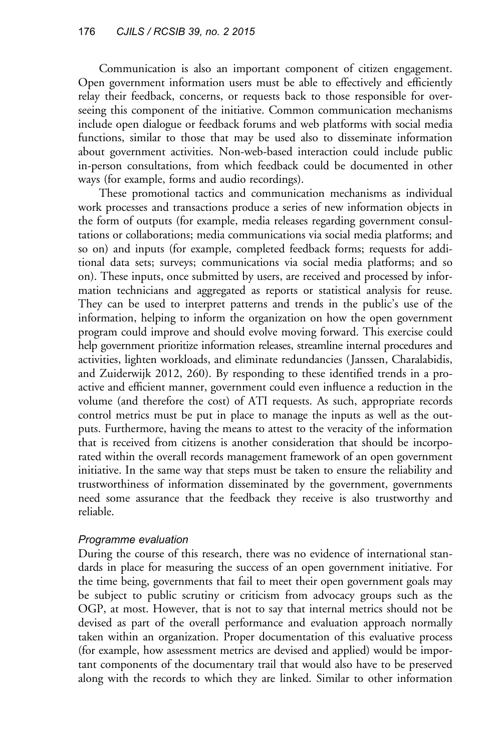Communication is also an important component of citizen engagement. Open government information users must be able to effectively and efficiently relay their feedback, concerns, or requests back to those responsible for overseeing this component of the initiative. Common communication mechanisms include open dialogue or feedback forums and web platforms with social media functions, similar to those that may be used also to disseminate information about government activities. Non-web-based interaction could include public in-person consultations, from which feedback could be documented in other ways (for example, forms and audio recordings).

These promotional tactics and communication mechanisms as individual work processes and transactions produce a series of new information objects in the form of outputs (for example, media releases regarding government consultations or collaborations; media communications via social media platforms; and so on) and inputs (for example, completed feedback forms; requests for additional data sets; surveys; communications via social media platforms; and so on). These inputs, once submitted by users, are received and processed by information technicians and aggregated as reports or statistical analysis for reuse. They can be used to interpret patterns and trends in the public's use of the information, helping to inform the organization on how the open government program could improve and should evolve moving forward. This exercise could help government prioritize information releases, streamline internal procedures and activities, lighten workloads, and eliminate redundancies ([Janssen, Charalabidis,](#page-34-0) [and Zuiderwijk 2012,](#page-34-0) 260). By responding to these identified trends in a proactive and efficient manner, government could even influence a reduction in the volume (and therefore the cost) of ATI requests. As such, appropriate records control metrics must be put in place to manage the inputs as well as the outputs. Furthermore, having the means to attest to the veracity of the information that is received from citizens is another consideration that should be incorporated within the overall records management framework of an open government initiative. In the same way that steps must be taken to ensure the reliability and trustworthiness of information disseminated by the government, governments need some assurance that the feedback they receive is also trustworthy and reliable.

#### Programme evaluation

During the course of this research, there was no evidence of international standards in place for measuring the success of an open government initiative. For the time being, governments that fail to meet their open government goals may be subject to public scrutiny or criticism from advocacy groups such as the OGP, at most. However, that is not to say that internal metrics should not be devised as part of the overall performance and evaluation approach normally taken within an organization. Proper documentation of this evaluative process (for example, how assessment metrics are devised and applied) would be important components of the documentary trail that would also have to be preserved along with the records to which they are linked. Similar to other information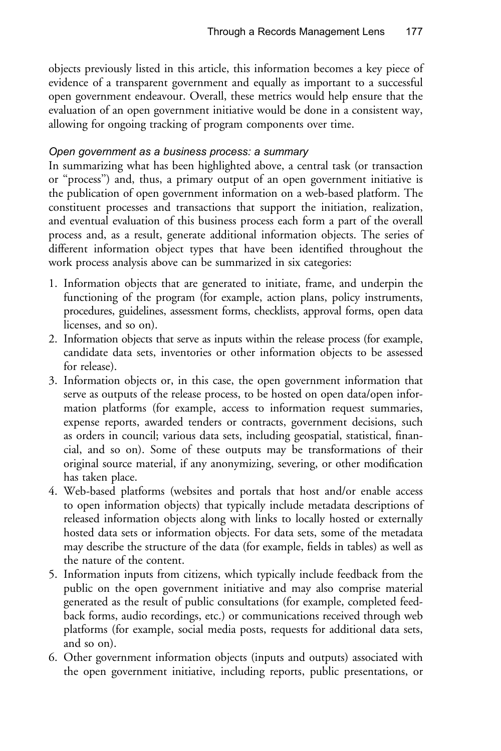objects previously listed in this article, this information becomes a key piece of evidence of a transparent government and equally as important to a successful open government endeavour. Overall, these metrics would help ensure that the evaluation of an open government initiative would be done in a consistent way, allowing for ongoing tracking of program components over time.

# Open government as a business process: a summary

In summarizing what has been highlighted above, a central task (or transaction or ''process'') and, thus, a primary output of an open government initiative is the publication of open government information on a web-based platform. The constituent processes and transactions that support the initiation, realization, and eventual evaluation of this business process each form a part of the overall process and, as a result, generate additional information objects. The series of different information object types that have been identified throughout the work process analysis above can be summarized in six categories:

- 1. Information objects that are generated to initiate, frame, and underpin the functioning of the program (for example, action plans, policy instruments, procedures, guidelines, assessment forms, checklists, approval forms, open data licenses, and so on).
- 2. Information objects that serve as inputs within the release process (for example, candidate data sets, inventories or other information objects to be assessed for release).
- 3. Information objects or, in this case, the open government information that serve as outputs of the release process, to be hosted on open data/open information platforms (for example, access to information request summaries, expense reports, awarded tenders or contracts, government decisions, such as orders in council; various data sets, including geospatial, statistical, financial, and so on). Some of these outputs may be transformations of their original source material, if any anonymizing, severing, or other modification has taken place.
- 4. Web-based platforms (websites and portals that host and/or enable access to open information objects) that typically include metadata descriptions of released information objects along with links to locally hosted or externally hosted data sets or information objects. For data sets, some of the metadata may describe the structure of the data (for example, fields in tables) as well as the nature of the content.
- 5. Information inputs from citizens, which typically include feedback from the public on the open government initiative and may also comprise material generated as the result of public consultations (for example, completed feedback forms, audio recordings, etc.) or communications received through web platforms (for example, social media posts, requests for additional data sets, and so on).
- 6. Other government information objects (inputs and outputs) associated with the open government initiative, including reports, public presentations, or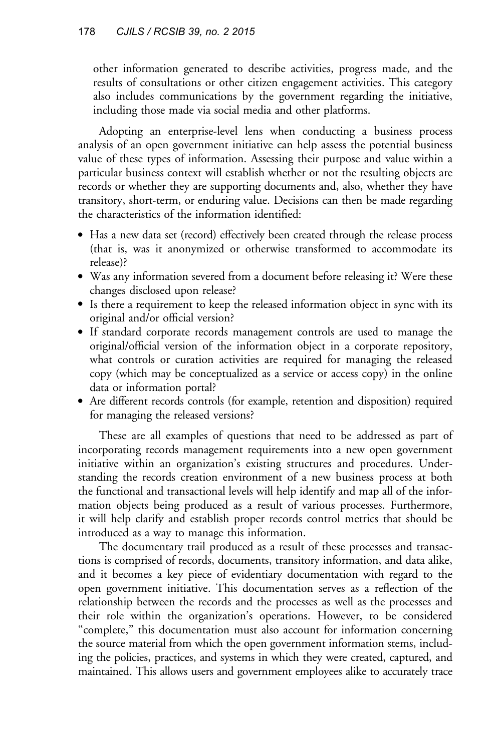other information generated to describe activities, progress made, and the results of consultations or other citizen engagement activities. This category also includes communications by the government regarding the initiative, including those made via social media and other platforms.

Adopting an enterprise-level lens when conducting a business process analysis of an open government initiative can help assess the potential business value of these types of information. Assessing their purpose and value within a particular business context will establish whether or not the resulting objects are records or whether they are supporting documents and, also, whether they have transitory, short-term, or enduring value. Decisions can then be made regarding the characteristics of the information identified:

- Has a new data set (record) effectively been created through the release process (that is, was it anonymized or otherwise transformed to accommodate its release)?
- Was any information severed from a document before releasing it? Were these changes disclosed upon release?
- Is there a requirement to keep the released information object in sync with its original and/or official version?
- If standard corporate records management controls are used to manage the original/official version of the information object in a corporate repository, what controls or curation activities are required for managing the released copy (which may be conceptualized as a service or access copy) in the online data or information portal?
- Are different records controls (for example, retention and disposition) required for managing the released versions?

These are all examples of questions that need to be addressed as part of incorporating records management requirements into a new open government initiative within an organization's existing structures and procedures. Understanding the records creation environment of a new business process at both the functional and transactional levels will help identify and map all of the information objects being produced as a result of various processes. Furthermore, it will help clarify and establish proper records control metrics that should be introduced as a way to manage this information.

The documentary trail produced as a result of these processes and transactions is comprised of records, documents, transitory information, and data alike, and it becomes a key piece of evidentiary documentation with regard to the open government initiative. This documentation serves as a reflection of the relationship between the records and the processes as well as the processes and their role within the organization's operations. However, to be considered ''complete,'' this documentation must also account for information concerning the source material from which the open government information stems, including the policies, practices, and systems in which they were created, captured, and maintained. This allows users and government employees alike to accurately trace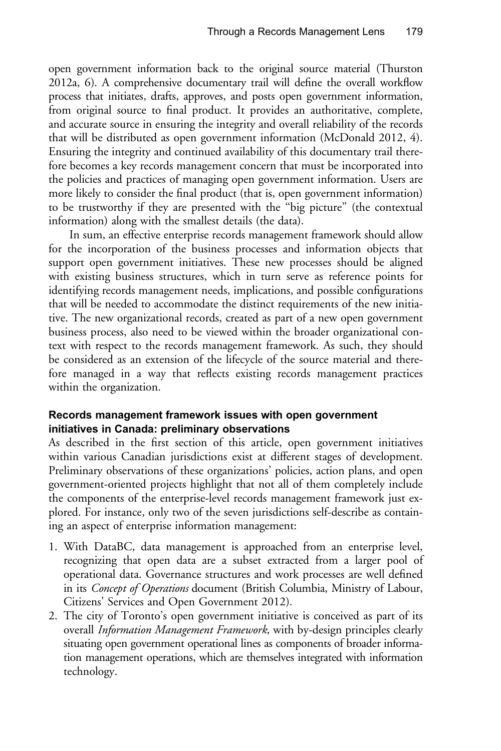open government information back to the original source material [\(Thurston](#page-36-0) [2012a](#page-36-0), 6). A comprehensive documentary trail will define the overall workflow process that initiates, drafts, approves, and posts open government information, from original source to final product. It provides an authoritative, complete, and accurate source in ensuring the integrity and overall reliability of the records that will be distributed as open government information [\(McDonald 2012](#page-34-0), 4). Ensuring the integrity and continued availability of this documentary trail therefore becomes a key records management concern that must be incorporated into the policies and practices of managing open government information. Users are more likely to consider the final product (that is, open government information) to be trustworthy if they are presented with the ''big picture'' (the contextual information) along with the smallest details (the data).

In sum, an effective enterprise records management framework should allow for the incorporation of the business processes and information objects that support open government initiatives. These new processes should be aligned with existing business structures, which in turn serve as reference points for identifying records management needs, implications, and possible configurations that will be needed to accommodate the distinct requirements of the new initiative. The new organizational records, created as part of a new open government business process, also need to be viewed within the broader organizational context with respect to the records management framework. As such, they should be considered as an extension of the lifecycle of the source material and therefore managed in a way that reflects existing records management practices within the organization.

# Records management framework issues with open government initiatives in Canada: preliminary observations

As described in the first section of this article, open government initiatives within various Canadian jurisdictions exist at different stages of development. Preliminary observations of these organizations' policies, action plans, and open government-oriented projects highlight that not all of them completely include the components of the enterprise-level records management framework just explored. For instance, only two of the seven jurisdictions self-describe as containing an aspect of enterprise information management:

- 1. With DataBC, data management is approached from an enterprise level, recognizing that open data are a subset extracted from a larger pool of operational data. Governance structures and work processes are well defined in its Concept of Operations document (British Columbia, Ministry of Labour, Citizens' Services and Open Government 2012).
- 2. The city of Toronto's open government initiative is conceived as part of its overall Information Management Framework, with by-design principles clearly situating open government operational lines as components of broader information management operations, which are themselves integrated with information technology.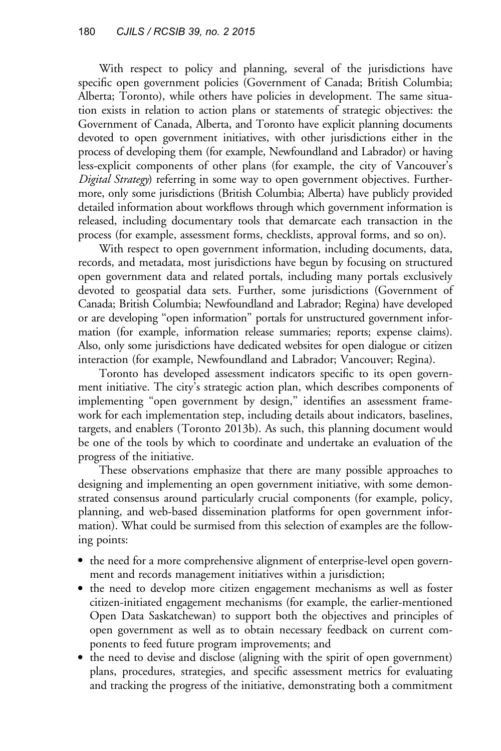With respect to policy and planning, several of the jurisdictions have specific open government policies (Government of Canada; British Columbia; Alberta; Toronto), while others have policies in development. The same situation exists in relation to action plans or statements of strategic objectives: the Government of Canada, Alberta, and Toronto have explicit planning documents devoted to open government initiatives, with other jurisdictions either in the process of developing them (for example, Newfoundland and Labrador) or having less-explicit components of other plans (for example, the city of Vancouver's Digital Strategy) referring in some way to open government objectives. Furthermore, only some jurisdictions (British Columbia; Alberta) have publicly provided detailed information about workflows through which government information is released, including documentary tools that demarcate each transaction in the process (for example, assessment forms, checklists, approval forms, and so on).

With respect to open government information, including documents, data, records, and metadata, most jurisdictions have begun by focusing on structured open government data and related portals, including many portals exclusively devoted to geospatial data sets. Further, some jurisdictions (Government of Canada; British Columbia; Newfoundland and Labrador; Regina) have developed or are developing ''open information'' portals for unstructured government information (for example, information release summaries; reports; expense claims). Also, only some jurisdictions have dedicated websites for open dialogue or citizen interaction (for example, Newfoundland and Labrador; Vancouver; Regina).

Toronto has developed assessment indicators specific to its open government initiative. The city's strategic action plan, which describes components of implementing "open government by design," identifies an assessment framework for each implementation step, including details about indicators, baselines, targets, and enablers (Toronto 2013b). As such, this planning document would be one of the tools by which to coordinate and undertake an evaluation of the progress of the initiative.

These observations emphasize that there are many possible approaches to designing and implementing an open government initiative, with some demonstrated consensus around particularly crucial components (for example, policy, planning, and web-based dissemination platforms for open government information). What could be surmised from this selection of examples are the following points:

- the need for a more comprehensive alignment of enterprise-level open government and records management initiatives within a jurisdiction;
- the need to develop more citizen engagement mechanisms as well as foster citizen-initiated engagement mechanisms (for example, the earlier-mentioned Open Data Saskatchewan) to support both the objectives and principles of open government as well as to obtain necessary feedback on current components to feed future program improvements; and
- the need to devise and disclose (aligning with the spirit of open government) plans, procedures, strategies, and specific assessment metrics for evaluating and tracking the progress of the initiative, demonstrating both a commitment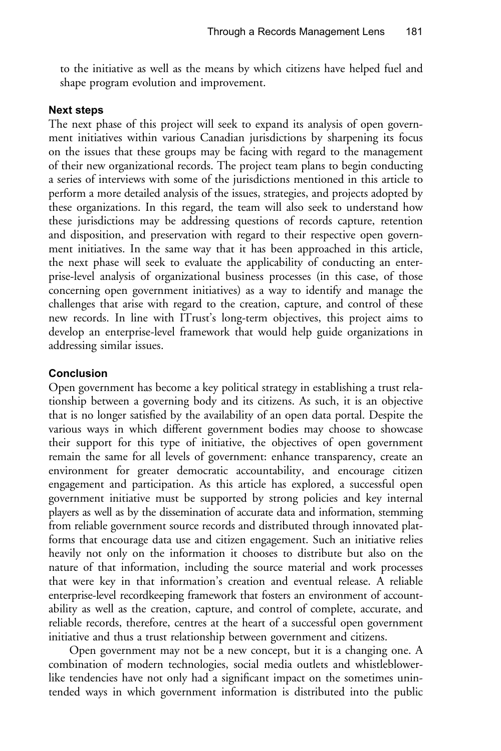to the initiative as well as the means by which citizens have helped fuel and shape program evolution and improvement.

#### Next steps

The next phase of this project will seek to expand its analysis of open government initiatives within various Canadian jurisdictions by sharpening its focus on the issues that these groups may be facing with regard to the management of their new organizational records. The project team plans to begin conducting a series of interviews with some of the jurisdictions mentioned in this article to perform a more detailed analysis of the issues, strategies, and projects adopted by these organizations. In this regard, the team will also seek to understand how these jurisdictions may be addressing questions of records capture, retention and disposition, and preservation with regard to their respective open government initiatives. In the same way that it has been approached in this article, the next phase will seek to evaluate the applicability of conducting an enterprise-level analysis of organizational business processes (in this case, of those concerning open government initiatives) as a way to identify and manage the challenges that arise with regard to the creation, capture, and control of these new records. In line with ITrust's long-term objectives, this project aims to develop an enterprise-level framework that would help guide organizations in addressing similar issues.

# Conclusion

Open government has become a key political strategy in establishing a trust relationship between a governing body and its citizens. As such, it is an objective that is no longer satisfied by the availability of an open data portal. Despite the various ways in which different government bodies may choose to showcase their support for this type of initiative, the objectives of open government remain the same for all levels of government: enhance transparency, create an environment for greater democratic accountability, and encourage citizen engagement and participation. As this article has explored, a successful open government initiative must be supported by strong policies and key internal players as well as by the dissemination of accurate data and information, stemming from reliable government source records and distributed through innovated platforms that encourage data use and citizen engagement. Such an initiative relies heavily not only on the information it chooses to distribute but also on the nature of that information, including the source material and work processes that were key in that information's creation and eventual release. A reliable enterprise-level recordkeeping framework that fosters an environment of accountability as well as the creation, capture, and control of complete, accurate, and reliable records, therefore, centres at the heart of a successful open government initiative and thus a trust relationship between government and citizens.

Open government may not be a new concept, but it is a changing one. A combination of modern technologies, social media outlets and whistleblowerlike tendencies have not only had a significant impact on the sometimes unintended ways in which government information is distributed into the public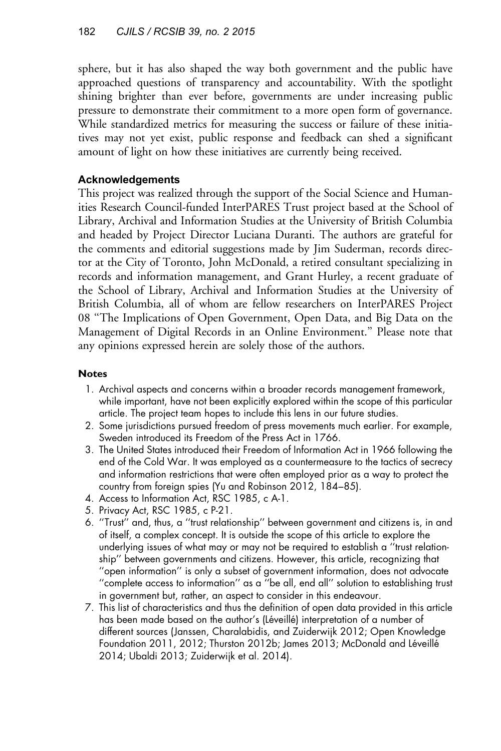sphere, but it has also shaped the way both government and the public have approached questions of transparency and accountability. With the spotlight shining brighter than ever before, governments are under increasing public pressure to demonstrate their commitment to a more open form of governance. While standardized metrics for measuring the success or failure of these initiatives may not yet exist, public response and feedback can shed a significant amount of light on how these initiatives are currently being received.

## Acknowledgements

This project was realized through the support of the Social Science and Humanities Research Council-funded InterPARES Trust project based at the School of Library, Archival and Information Studies at the University of British Columbia and headed by Project Director Luciana Duranti. The authors are grateful for the comments and editorial suggestions made by Jim Suderman, records director at the City of Toronto, John McDonald, a retired consultant specializing in records and information management, and Grant Hurley, a recent graduate of the School of Library, Archival and Information Studies at the University of British Columbia, all of whom are fellow researchers on InterPARES Project 08 ''The Implications of Open Government, Open Data, and Big Data on the Management of Digital Records in an Online Environment.'' Please note that any opinions expressed herein are solely those of the authors.

#### **Notes**

- 1. Archival aspects and concerns within a broader records management framework, while important, have not been explicitly explored within the scope of this particular article. The project team hopes to include this lens in our future studies.
- 2. Some jurisdictions pursued freedom of press movements much earlier. For example, Sweden introduced its Freedom of the Press Act in 1766.
- 3. The United States introduced their Freedom of Information Act in 1966 following the end of the Cold War. It was employed as a countermeasure to the tactics of secrecy and information restrictions that were often employed prior as a way to protect the country from foreign spies [\(Yu and Robinson 2012,](#page-37-0) 184–85).
- 4. Access to Information Act, RSC 1985, c A-1.
- 5. Privacy Act, RSC 1985, c P-21.
- 6. ''Trust'' and, thus, a ''trust relationship'' between government and citizens is, in and of itself, a complex concept. It is outside the scope of this article to explore the underlying issues of what may or may not be required to establish a ''trust relationship'' between governments and citizens. However, this article, recognizing that ''open information'' is only a subset of government information, does not advocate ''complete access to information'' as a ''be all, end all'' solution to establishing trust in government but, rather, an aspect to consider in this endeavour.
- 7. This list of characteristics and thus the definition of open data provided in this article has been made based on the author's (Léveillé) interpretation of a number of different sources ([Janssen, Charalabidis, and Zuiderwijk 2012](#page-34-0); [Open Knowledge](#page-35-0) [Foundation 2011](#page-35-0), 2012; Thurston 2012b; James 2013; McDonald and Léveillé [2014](#page-34-0); [Ubaldi 2013](#page-36-0); [Zuiderwijk et al. 2014](#page-37-0)).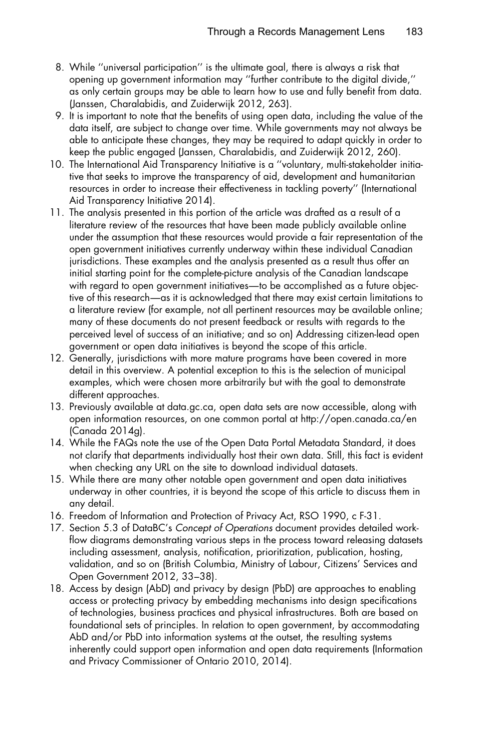- 8. While ''universal participation'' is the ultimate goal, there is always a risk that opening up government information may ''further contribute to the digital divide,'' as only certain groups may be able to learn how to use and fully benefit from data. [\(Janssen, Charalabidis, and Zuiderwijk 2012](#page-34-0), 263).
- 9. It is important to note that the benefits of using open data, including the value of the data itself, are subject to change over time. While governments may not always be able to anticipate these changes, they may be required to adapt quickly in order to keep the public engaged [\(Janssen, Charalabidis, and Zuiderwijk 2012,](#page-34-0) 260).
- 10. The International Aid Transparency Initiative is a ''voluntary, multi-stakeholder initiative that seeks to improve the transparency of aid, development and humanitarian resources in order to increase their effectiveness in tackling poverty'' ([International](#page-34-0) [Aid Transparency Initiative 2014\)](#page-34-0).
- 11. The analysis presented in this portion of the article was drafted as a result of a literature review of the resources that have been made publicly available online under the assumption that these resources would provide a fair representation of the open government initiatives currently underway within these individual Canadian jurisdictions. These examples and the analysis presented as a result thus offer an initial starting point for the complete-picture analysis of the Canadian landscape with regard to open government initiatives—to be accomplished as a future objective of this research—as it is acknowledged that there may exist certain limitations to a literature review (for example, not all pertinent resources may be available online; many of these documents do not present feedback or results with regards to the perceived level of success of an initiative; and so on) Addressing citizen-lead open government or open data initiatives is beyond the scope of this article.
- 12. Generally, jurisdictions with more mature programs have been covered in more detail in this overview. A potential exception to this is the selection of municipal examples, which were chosen more arbitrarily but with the goal to demonstrate different approaches.
- 13. Previously available at data.gc.ca, open data sets are now accessible, along with open information resources, on one common portal at<http://open.canada.ca/en> (Canada 2014g).
- 14. While the FAQs note the use of the Open Data Portal Metadata Standard, it does not clarify that departments individually host their own data. Still, this fact is evident when checking any URL on the site to download individual datasets.
- 15. While there are many other notable open government and open data initiatives underway in other countries, it is beyond the scope of this article to discuss them in any detail.
- 16. Freedom of Information and Protection of Privacy Act, RSO 1990, c F-31.
- 17. Section 5.3 of DataBC's Concept of Operations document provides detailed workflow diagrams demonstrating various steps in the process toward releasing datasets including assessment, analysis, notification, prioritization, publication, hosting, validation, and so on (British Columbia, Ministry of Labour, Citizens' Services and Open Government 2012, 33–38).
- 18. Access by design (AbD) and privacy by design (PbD) are approaches to enabling access or protecting privacy by embedding mechanisms into design specifications of technologies, business practices and physical infrastructures. Both are based on foundational sets of principles. In relation to open government, by accommodating AbD and/or PbD into information systems at the outset, the resulting systems inherently could support open information and open data requirements (Information and Privacy Commissioner of Ontario 2010, 2014).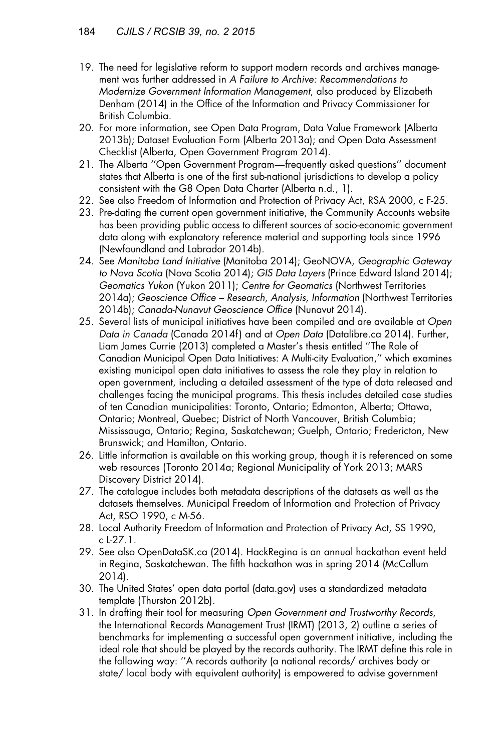- 19. The need for legislative reform to support modern records and archives management was further addressed in A Failure to Archive: Recommendations to Modernize Government Information Management, also produced by Elizabeth Denham (2014) in the Office of the Information and Privacy Commissioner for British Columbia.
- 20. For more information, see Open Data Program, Data Value Framework ([Alberta](#page-32-0) [2013b\)](#page-32-0); Dataset Evaluation Form [\(Alberta 2013a\)](#page-32-0); and Open Data Assessment Checklist ([Alberta, Open Government Program 2014](#page-32-0)).
- 21. The Alberta ''Open Government Program—frequently asked questions'' document states that Alberta is one of the first sub-national jurisdictions to develop a policy consistent with the G8 Open Data Charter [\(Alberta n.d.](#page-32-0), 1).
- 22. See also Freedom of Information and Protection of Privacy Act, RSA 2000, c F-25.
- 23. Pre-dating the current open government initiative, the Community Accounts website has been providing public access to different sources of socio-economic government data along with explanatory reference material and supporting tools since 1996 (Newfoundland and Labrador 2014b).
- 24. See Manitoba Land Initiative ([Manitoba 2014\)](#page-34-0); GeoNOVA, Geographic Gateway to Nova Scotia ([Nova Scotia 2014\)](#page-35-0); GIS Data Layers ([Prince Edward Island 2014\)](#page-35-0); Geomatics Yukon ([Yukon 2011\)](#page-37-0); Centre for Geomatics ([Northwest Territories](#page-35-0) [2014a\)](#page-35-0); Geoscience Office – Research, Analysis, Information (Northwest Territories 2014b); Canada-Nunavut Geoscience Office ([Nunavut 2014](#page-35-0)).
- 25. Several lists of municipal initiatives have been compiled and are available at Open Data in Canada (Canada 2014f) and at Open Data ([Datalibre.ca 2014](#page-33-0)). Further, Liam James [Currie \(2013\)](#page-33-0) completed a Master's thesis entitled ''The Role of Canadian Municipal Open Data Initiatives: A Multi-city Evaluation,'' which examines existing municipal open data initiatives to assess the role they play in relation to open government, including a detailed assessment of the type of data released and challenges facing the municipal programs. This thesis includes detailed case studies of ten Canadian municipalities: Toronto, Ontario; Edmonton, Alberta; Ottawa, Ontario; Montreal, Quebec; District of North Vancouver, British Columbia; Mississauga, Ontario; Regina, Saskatchewan; Guelph, Ontario; Fredericton, New Brunswick; and Hamilton, Ontario.
- 26. Little information is available on this working group, though it is referenced on some web resources (Toronto 2014a; Regional Municipality of York 2013; [MARS](#page-34-0) [Discovery District 2014](#page-34-0)).
- 27. The catalogue includes both metadata descriptions of the datasets as well as the datasets themselves. Municipal Freedom of Information and Protection of Privacy Act, RSO 1990, c M-56.
- 28. Local Authority Freedom of Information and Protection of Privacy Act, SS 1990, c L-27.1.
- 29. See also OpenDataSK.ca (2014). HackRegina is an annual hackathon event held in Regina, Saskatchewan. The fifth hackathon was in spring 2014 [\(McCallum](#page-34-0) [2014](#page-34-0)).
- 30. The United States' open data portal (data.gov) uses a standardized metadata template (Thurston 2012b).
- 31. In drafting their tool for measuring Open Government and Trustworthy Records, the International Records Management Trust (IRMT) (2013, 2) outline a series of benchmarks for implementing a successful open government initiative, including the ideal role that should be played by the records authority. The IRMT define this role in the following way: ''A records authority (a national records/ archives body or state/ local body with equivalent authority) is empowered to advise government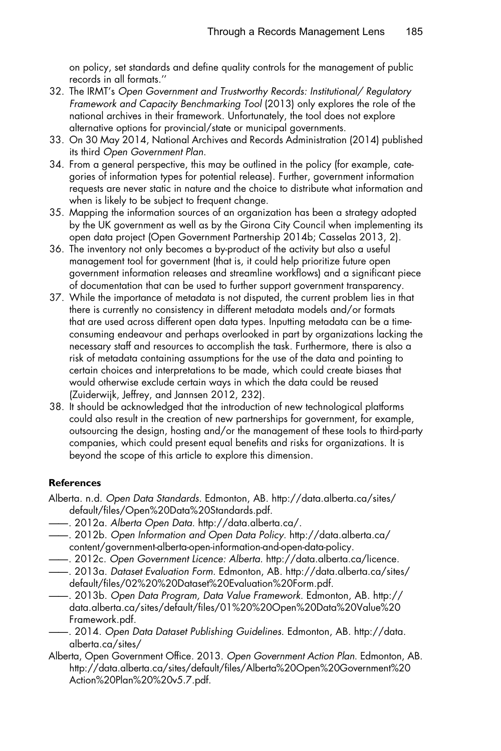<span id="page-32-0"></span>on policy, set standards and define quality controls for the management of public records in all formats.''

- 32. The IRMT's Open Government and Trustworthy Records: Institutional/ Regulatory Framework and Capacity Benchmarking Tool (2013) only explores the role of the national archives in their framework. Unfortunately, the tool does not explore alternative options for provincial/state or municipal governments.
- 33. On 30 May 2014, [National Archives and Records Administration \(2014\)](#page-35-0) published its third Open Government Plan.
- 34. From a general perspective, this may be outlined in the policy (for example, categories of information types for potential release). Further, government information requests are never static in nature and the choice to distribute what information and when is likely to be subject to frequent change.
- 35. Mapping the information sources of an organization has been a strategy adopted by the UK government as well as by the Girona City Council when implementing its open data project (Open Government Partnership 2014b; [Casselas 2013,](#page-33-0) 2).
- 36. The inventory not only becomes a by-product of the activity but also a useful management tool for government (that is, it could help prioritize future open government information releases and streamline workflows) and a significant piece of documentation that can be used to further support government transparency.
- 37. While the importance of metadata is not disputed, the current problem lies in that there is currently no consistency in different metadata models and/or formats that are used across different open data types. Inputting metadata can be a timeconsuming endeavour and perhaps overlooked in part by organizations lacking the necessary staff and resources to accomplish the task. Furthermore, there is also a risk of metadata containing assumptions for the use of the data and pointing to certain choices and interpretations to be made, which could create biases that would otherwise exclude certain ways in which the data could be reused (Zuiderwijk, Jeffrey, and Jannsen 2012, 232).
- 38. It should be acknowledged that the introduction of new technological platforms could also result in the creation of new partnerships for government, for example, outsourcing the design, hosting and/or the management of these tools to third-party companies, which could present equal benefits and risks for organizations. It is beyond the scope of this article to explore this dimension.

# **References**

- Alberta. n.d. Open Data Standards. Edmonton, AB. [http://data.alberta.ca/sites/](http://data.alberta.ca/sites/default/files/Open%20Data%20Standards.pdf) [default/files/Open%20Data%20Standards.pdf.](http://data.alberta.ca/sites/default/files/Open%20Data%20Standards.pdf)
- ——. 2012a. Alberta Open Data. [http://data.alberta.ca/.](http://data.alberta.ca/)
- ——. 2012b. Open Information and Open Data Policy. [http://data.alberta.ca/](http://data.alberta.ca/content/government-alberta-open-information-and-open-data-policy) [content/government-alberta-open-information-and-open-data-policy.](http://data.alberta.ca/content/government-alberta-open-information-and-open-data-policy)
- ——. 2012c. Open Government Licence: Alberta. [http://data.alberta.ca/licence.](http://data.alberta.ca/licence)
- ——. 2013a. Dataset Evaluation Form. Edmonton, AB. [http://data.alberta.ca/sites/](http://data.alberta.ca/sites/default/files/02%20%20Dataset%20Evaluation%20Form.pdf) [default/files/02%20%20Dataset%20Evaluation%20Form.pdf](http://data.alberta.ca/sites/default/files/02%20%20Dataset%20Evaluation%20Form.pdf).
- ——. 2013b. Open Data Program, Data Value Framework. Edmonton, AB. [http://](http://data.alberta.ca/sites/default/files/01%20%20Open%20Data%20Value%20Framework.pdf) [data.alberta.ca/sites/default/files/01%20%20Open%20Data%20Value%20](http://data.alberta.ca/sites/default/files/01%20%20Open%20Data%20Value%20Framework.pdf) [Framework.pdf](http://data.alberta.ca/sites/default/files/01%20%20Open%20Data%20Value%20Framework.pdf).
- ——. 2014. Open Data Dataset Publishing Guidelines. Edmonton, AB. [http://data.](http://data.alberta.ca/sites/) [alberta.ca/sites/](http://data.alberta.ca/sites/)
- Alberta, Open Government Office. 2013. Open Government Action Plan. Edmonton, AB. [http://data.alberta.ca/sites/default/files/Alberta%20Open%20Government%20](http://data.alberta.ca/sites/default/files/Alberta%20Open%20Government%20Action%20Plan%20%20v5.7.pdf) [Action%20Plan%20%20v5.7.pdf.](http://data.alberta.ca/sites/default/files/Alberta%20Open%20Government%20Action%20Plan%20%20v5.7.pdf)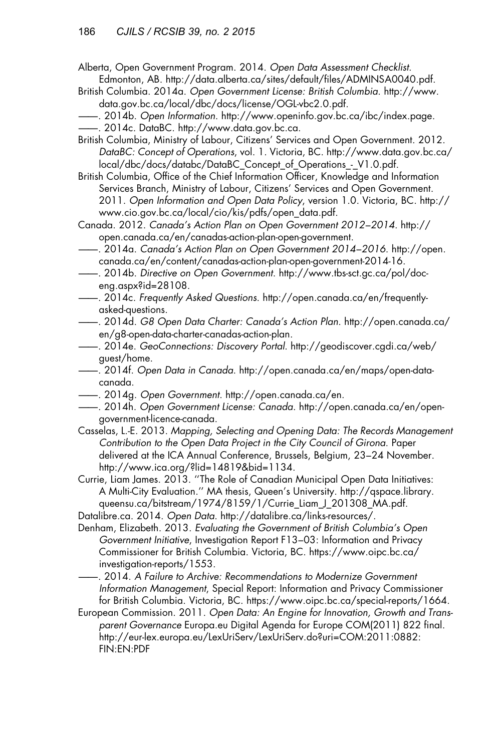<span id="page-33-0"></span>Alberta, Open Government Program. 2014. Open Data Assessment Checklist. Edmonton, AB.<http://data.alberta.ca/sites/default/files/ADMINSA0040.pdf>.

- British Columbia. 2014a. Open Government License: British Columbia. [http://www.](http://www.data.gov.bc.ca/local/dbc/docs/license/OGL-vbc2.0.pdf) [data.gov.bc.ca/local/dbc/docs/license/OGL-vbc2.0.pdf](http://www.data.gov.bc.ca/local/dbc/docs/license/OGL-vbc2.0.pdf).
	- ——. 2014b. Open Information. [http://www.openinfo.gov.bc.ca/ibc/index.page.](http://www.openinfo.gov.bc.ca/ibc/index.page) ——. 2014c. DataBC.<http://www.data.gov.bc.ca>.
- British Columbia, Ministry of Labour, Citizens' Services and Open Government. 2012. DataBC: Concept of Operations, vol. 1. Victoria, BC. [http://www.data.gov.bc.ca/](http://www.data.gov.bc.ca/local/dbc/docs/databc/DataBC_Concept_of_Operations_-_V1.0.pdf) [local/dbc/docs/databc/DataBC\\_Concept\\_of\\_Operations\\_-\\_V1.0.pdf.](http://www.data.gov.bc.ca/local/dbc/docs/databc/DataBC_Concept_of_Operations_-_V1.0.pdf)
- British Columbia, Office of the Chief Information Officer, Knowledge and Information Services Branch, Ministry of Labour, Citizens' Services and Open Government. 2011. Open Information and Open Data Policy, version 1.0. Victoria, BC. [http://](http://www.cio.gov.bc.ca/local/cio/kis/pdfs/open_data.pdf) [www.cio.gov.bc.ca/local/cio/kis/pdfs/open\\_data.pdf](http://www.cio.gov.bc.ca/local/cio/kis/pdfs/open_data.pdf).
- Canada. 2012. Canada's Action Plan on Open Government 2012–2014. [http://](http://open.canada.ca/en/canadas-action-plan-open-government) [open.canada.ca/en/canadas-action-plan-open-government.](http://open.canada.ca/en/canadas-action-plan-open-government)
- ——. 2014a. Canada's Action Plan on Open Government 2014–2016. [http://open.](http://open.canada.ca/en/content/canadas-action-plan-open-government-2014-16) [canada.ca/en/content/canadas-action-plan-open-government-2014-16.](http://open.canada.ca/en/content/canadas-action-plan-open-government-2014-16)
- ——. 2014b. Directive on Open Government. [http://www.tbs-sct.gc.ca/pol/doc](http://www.tbs-sct.gc.ca/pol/doc-eng.aspx?id=28108.!)[eng.aspx?id=28108.](http://www.tbs-sct.gc.ca/pol/doc-eng.aspx?id=28108.!)
- ——. 2014c. Frequently Asked Questions. [http://open.canada.ca/en/frequently](http://open.canada.ca/en/frequently-asked-questions)[asked-questions](http://open.canada.ca/en/frequently-asked-questions).
- ——. 2014d. G8 Open Data Charter: Canada's Action Plan. [http://open.canada.ca/](http://open.canada.ca/en/g8-open-data-charter-canadas-action-plan) [en/g8-open-data-charter-canadas-action-plan](http://open.canada.ca/en/g8-open-data-charter-canadas-action-plan).
- ——. 2014e. GeoConnections: Discovery Portal. [http://geodiscover.cgdi.ca/web/](http://geodiscover.cgdi.ca/web/guest/home) [guest/home](http://geodiscover.cgdi.ca/web/guest/home).
- ——. 2014f. Open Data in Canada. [http://open.canada.ca/en/maps/open-data](http://open.canada.ca/en/maps/open-data-canada)[canada](http://open.canada.ca/en/maps/open-data-canada).
- ——. 2014g. Open Government.<http://open.canada.ca/en.>
- ——. 2014h. Open Government License: Canada. [http://open.canada.ca/en/open](http://open.canada.ca/en/open-government-licence-canada)[government-licence-canada](http://open.canada.ca/en/open-government-licence-canada).
- Casselas, L.-E. 2013. Mapping, Selecting and Opening Data: The Records Management Contribution to the Open Data Project in the City Council of Girona. Paper delivered at the ICA Annual Conference, Brussels, Belgium, 23–24 November. <http://www.ica.org/?lid=14819&bid=1134>.
- Currie, Liam James. 2013. ''The Role of Canadian Municipal Open Data Initiatives: A Multi-City Evaluation.'' MA thesis, Queen's University. [http://qspace.library.](http://qspace.library.queensu.ca/bitstream/1974/8159/1/Currie_Liam_J_201308_MA.pdf) [queensu.ca/bitstream/1974/8159/1/Currie\\_Liam\\_J\\_201308\\_MA.pdf.](http://qspace.library.queensu.ca/bitstream/1974/8159/1/Currie_Liam_J_201308_MA.pdf)
- Datalibre.ca. 2014. Open Data. [http://datalibre.ca/links-resources/.](http://datalibre.ca/links-resources/)
- Denham, Elizabeth. 2013. Evaluating the Government of British Columbia's Open Government Initiative, Investigation Report F13–03: Information and Privacy Commissioner for British Columbia. Victoria, BC. [https://www.oipc.bc.ca/](https://www.oipc.bc.ca/investigation-reports/1553) [investigation-reports/1553.](https://www.oipc.bc.ca/investigation-reports/1553)

——. 2014. A Failure to Archive: Recommendations to Modernize Government Information Management, Special Report: Information and Privacy Commissioner for British Columbia. Victoria, BC. [https://www.oipc.bc.ca/special-reports/1664.](https://www.oipc.bc.ca/special-reports/1664)

European Commission. 2011. Open Data: An Engine for Innovation, Growth and Transparent Governance Europa.eu Digital Agenda for Europe COM(2011) 822 final. [http://eur-lex.europa.eu/LexUriServ/LexUriServ.do?uri=COM:2011:0882:](http://eur-lex.europa.eu/LexUriServ/LexUriServ.do?uri=COM:2011:0882:FIN:EN:PDF) [FIN:EN:PDF](http://eur-lex.europa.eu/LexUriServ/LexUriServ.do?uri=COM:2011:0882:FIN:EN:PDF)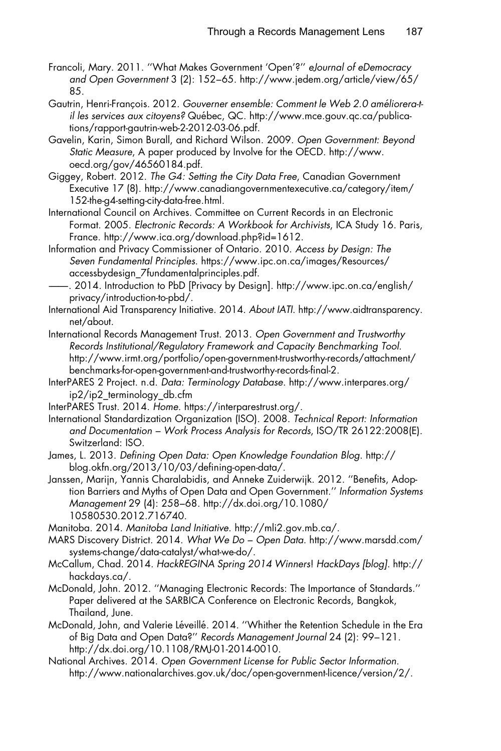- <span id="page-34-0"></span>Francoli, Mary. 2011. ''What Makes Government 'Open'?'' eJournal of eDemocracy and Open Government 3 (2): 152–65. [http://www.jedem.org/article/view/65/](http://www.jedem.org/article/view/65/85) [85](http://www.jedem.org/article/view/65/85).
- Gautrin, Henri-Francois. 2012. Gouverner ensemble: Comment le Web 2.0 améliorera-til les services aux citoyens? Québec, QC. [http://www.mce.gouv.qc.ca/publica](http://www.mce.gouv.qc.ca/publications/rapport-gautrin-web-2-2012-03-06.pdf)[tions/rapport-gautrin-web-2-2012-03-06.pdf.](http://www.mce.gouv.qc.ca/publications/rapport-gautrin-web-2-2012-03-06.pdf)
- Gavelin, Karin, Simon Burall, and Richard Wilson. 2009. Open Government: Beyond Static Measure, A paper produced by Involve for the OECD. [http://www.](http://www.oecd.org/gov/46560184.pdf) [oecd.org/gov/46560184.pdf.](http://www.oecd.org/gov/46560184.pdf)
- Giggey, Robert. 2012. The G4: Setting the City Data Free, Canadian Government Executive 17 (8). [http://www.canadiangovernmentexecutive.ca/category/item/](http://www.canadiangovernmentexecutive.ca/category/item/152-the-g4-setting-city-data-free.html) [152-the-g4-setting-city-data-free.html](http://www.canadiangovernmentexecutive.ca/category/item/152-the-g4-setting-city-data-free.html).
- International Council on Archives. Committee on Current Records in an Electronic Format. 2005. Electronic Records: A Workbook for Archivists, ICA Study 16. Paris, France. [http://www.ica.org/download.php?id=1612.](http://www.ica.org/download.php?id=1612)
- Information and Privacy Commissioner of Ontario. 2010. Access by Design: The Seven Fundamental Principles. [https://www.ipc.on.ca/images/Resources/](https://www.ipc.on.ca/images/Resources/accessbydesign_7fundamentalprinciples.pdf) [accessbydesign\\_7fundamentalprinciples.pdf.](https://www.ipc.on.ca/images/Resources/accessbydesign_7fundamentalprinciples.pdf)
- ——. 2014. Introduction to PbD [Privacy by Design]. [http://www.ipc.on.ca/english/](http://www.ipc.on.ca/english/privacy/introduction-to-pbd/) [privacy/introduction-to-pbd/](http://www.ipc.on.ca/english/privacy/introduction-to-pbd/).
- International Aid Transparency Initiative. 2014. About IATI. [http://www.aidtransparency.](http://www.aidtransparency.net/about) [net/about.](http://www.aidtransparency.net/about)
- International Records Management Trust. 2013. Open Government and Trustworthy Records Institutional/Regulatory Framework and Capacity Benchmarking Tool. [http://www.irmt.org/portfolio/open-government-trustworthy-records/attachment/](http://www.irmt.org/portfolio/open-government-trustworthy-records/attachment/benchmarks-for-open-government-and-trustworthy-records-final-2) [benchmarks-for-open-government-and-trustworthy-records-final-2](http://www.irmt.org/portfolio/open-government-trustworthy-records/attachment/benchmarks-for-open-government-and-trustworthy-records-final-2).
- InterPARES 2 Project. n.d. Data: Terminology Database. [http://www.interpares.org/](http://www.interpares.org/ip2/ip2_terminology_db.cfm) [ip2/ip2\\_terminology\\_db.cfm](http://www.interpares.org/ip2/ip2_terminology_db.cfm)
- InterPARES Trust. 2014. Home. https://interparestrust.org/.
- International Standardization Organization (ISO). 2008. Technical Report: Information and Documentation – Work Process Analysis for Records, ISO/TR 26122:2008(E). Switzerland: ISO.
- James, L. 2013. Defining Open Data: Open Knowledge Foundation Blog. [http://](http://blog.okfn.org/2013/10/03/defining-open-data/) [blog.okfn.org/2013/10/03/defining-open-data/.](http://blog.okfn.org/2013/10/03/defining-open-data/)
- Janssen, Marijn, Yannis Charalabidis, and Anneke Zuiderwijk. 2012. ''Benefits, Adoption Barriers and Myths of Open Data and Open Government.'' Information Systems Management 29 (4): 258–68. [http://dx.doi.org/10.1080/](http://dx.doi.org/10.1080/10580530.2012.716740) [10580530.2012.716740.](http://dx.doi.org/10.1080/10580530.2012.716740)
- Manitoba. 2014. Manitoba Land Initiative. [http://mli2.gov.mb.ca/.](http://mli2.gov.mb.ca/)
- MARS Discovery District. 2014. What We Do Open Data. [http://www.marsdd.com/](http://www.marsdd.com/systems-change/data-catalyst/what-we-do/) [systems-change/data-catalyst/what-we-do/](http://www.marsdd.com/systems-change/data-catalyst/what-we-do/).
- McCallum, Chad. 2014. HackREGINA Spring 2014 Winners! HackDays [blog]. [http://](http://hackdays.ca/) [hackdays.ca/.](http://hackdays.ca/)
- McDonald, John. 2012. ''Managing Electronic Records: The Importance of Standards.'' Paper delivered at the SARBICA Conference on Electronic Records, Bangkok, Thailand, June.
- McDonald, John, and Valerie Léveillé. 2014. "Whither the Retention Schedule in the Era of Big Data and Open Data?'' Records Management Journal 24 (2): 99–121. [http://dx.doi.org/10.1108/RMJ-01-2014-0010.](http://dx.doi.org/10.1108/RMJ-01-2014-0010)
- National Archives. 2014. Open Government License for Public Sector Information. [http://www.nationalarchives.gov.uk/doc/open-government-licence/version/2/.](http://www.nationalarchives.gov.uk/doc/open-government-licence/version/2/)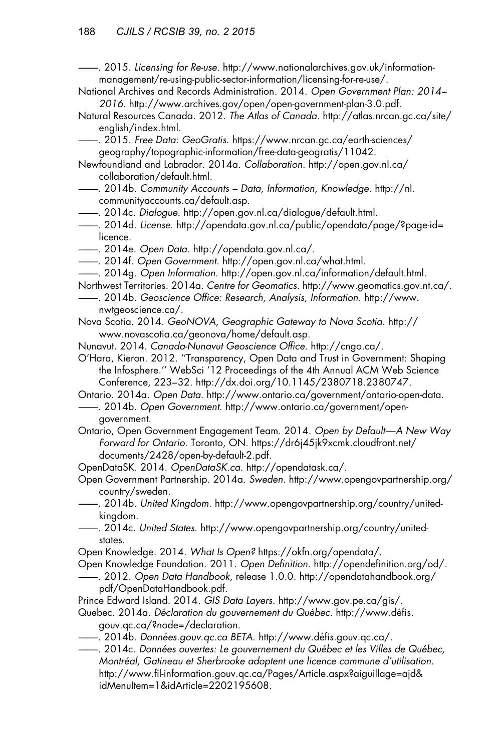<span id="page-35-0"></span>——. 2015. Licensing for Re-use. [http://www.nationalarchives.gov.uk/information](http://www.nationalarchives.gov.uk/information-management/re-using-public-sector-information/licensing-for-re-use/)[management/re-using-public-sector-information/licensing-for-re-use/.](http://www.nationalarchives.gov.uk/information-management/re-using-public-sector-information/licensing-for-re-use/)

- National Archives and Records Administration. 2014. Open Government Plan: 2014– 2016. [http://www.archives.gov/open/open-government-plan-3.0.pdf.](http://www.archives.gov/open/open-government-plan-3.0.pdf)
- Natural Resources Canada. 2012. The Atlas of Canada. [http://atlas.nrcan.gc.ca/site/](http://atlas.nrcan.gc.ca/site/english/index.html) [english/index.html.](http://atlas.nrcan.gc.ca/site/english/index.html)
- ——. 2015. Free Data: GeoGratis. [https://www.nrcan.gc.ca/earth-sciences/](https://www.nrcan.gc.ca/earth-sciences/geography/topographic-information/free-data-geogratis/11042) [geography/topographic-information/free-data-geogratis/11042](https://www.nrcan.gc.ca/earth-sciences/geography/topographic-information/free-data-geogratis/11042).

Newfoundland and Labrador. 2014a. Collaboration. [http://open.gov.nl.ca/](http://open.gov.nl.ca/collaboration/default.html) [collaboration/default.html.](http://open.gov.nl.ca/collaboration/default.html)

- ——. 2014b. Community Accounts Data, Information, Knowledge. [http://nl.](http://nl.communityaccounts.ca/default.asp) [communityaccounts.ca/default.asp](http://nl.communityaccounts.ca/default.asp).
- ——. 2014c. Dialogue. [http://open.gov.nl.ca/dialogue/default.html.](http://open.gov.nl.ca/dialogue/default.html)
- ——. 2014d. License. [http://opendata.gov.nl.ca/public/opendata/page/?page-id=](http://opendata.gov.nl.ca/public/opendata/page/?page-id=licence) [licence.](http://opendata.gov.nl.ca/public/opendata/page/?page-id=licence)
- ——. 2014e. Open Data.<http://opendata.gov.nl.ca/>.
- ——. 2014f. Open Government.<http://open.gov.nl.ca/what.html>.
- ——. 2014g. Open Information. [http://open.gov.nl.ca/information/default.html.](http://open.gov.nl.ca/information/default.html)
- Northwest Territories. 2014a. Centre for Geomatics.<http://www.geomatics.gov.nt.ca/>.
- ——. 2014b. Geoscience Office: Research, Analysis, Information. [http://www.](http://www.nwtgeoscience.ca/) [nwtgeoscience.ca/.](http://www.nwtgeoscience.ca/)
- Nova Scotia. 2014. GeoNOVA, Geographic Gateway to Nova Scotia. [http://](http://www.novascotia.ca/geonova/home/default.asp) [www.novascotia.ca/geonova/home/default.asp](http://www.novascotia.ca/geonova/home/default.asp).
- Nunavut. 2014. Canada-Nunavut Geoscience Office.<http://cngo.ca/>.
- O'Hara, Kieron. 2012. ''Transparency, Open Data and Trust in Government: Shaping the Infosphere.'' WebSci '12 Proceedings of the 4th Annual ACM Web Science Conference, 223–32. [http://dx.doi.org/10.1145/2380718.2380747.](http://dx.doi.org/10.1145/2380718.2380747)
- Ontario. 2014a. Open Data. [http://www.ontario.ca/government/ontario-open-data.](http://www.ontario.ca/government/ontario-open-data) ——. 2014b. Open Government. [http://www.ontario.ca/government/open-](http://www.ontario.ca/government/open-government)

[government](http://www.ontario.ca/government/open-government).

- Ontario, Open Government Engagement Team. 2014. Open by Default—A New Way Forward for Ontario. Toronto, ON. [https://dr6j45jk9xcmk.cloudfront.net/](https://dr6j45jk9xcmk.cloudfront.net/documents/2428/open-by-default-2.pdf) [documents/2428/open-by-default-2.pdf.](https://dr6j45jk9xcmk.cloudfront.net/documents/2428/open-by-default-2.pdf)
- OpenDataSK. 2014. OpenDataSK.ca. [http://opendatask.ca/.](http://opendatask.ca/)
- Open Government Partnership. 2014a. Sweden. [http://www.opengovpartnership.org/](http://www.opengovpartnership.org/country/sweden) [country/sweden.](http://www.opengovpartnership.org/country/sweden)
- ——. 2014b. United Kingdom. [http://www.opengovpartnership.org/country/united](http://www.opengovpartnership.org/country/united-kingdom)[kingdom](http://www.opengovpartnership.org/country/united-kingdom).
- ——. 2014c. United States. [http://www.opengovpartnership.org/country/united](http://www.opengovpartnership.org/country/united-states)[states](http://www.opengovpartnership.org/country/united-states).
- Open Knowledge. 2014. What Is Open? <https://okfn.org/opendata/>.
- Open Knowledge Foundation. 2011. Open Definition.<http://opendefinition.org/od/>.
- ——. 2012. Open Data Handbook, release 1.0.0. [http://opendatahandbook.org/](http://opendatahandbook.org/pdf/OpenDataHandbook.pdf) [pdf/OpenDataHandbook.pdf.](http://opendatahandbook.org/pdf/OpenDataHandbook.pdf)
- Prince Edward Island. 2014. GIS Data Layers. [http://www.gov.pe.ca/gis/.](http://www.gov.pe.ca/gis/)

Quebec. 2014a. Déclaration du gouvernement du Québec. http://www.défis. [gouv.qc.ca/?node=/declaration](http://www.de´fis.gouv.qc.ca/?node=/declaration).

—. 2014b. *Données.gouv.qc.ca BETA*. http://www.défis.gouv.qc.ca/.

—. 2014c. Données ouvertes: Le gouvernement du Québec et les Villes de Québec, Montréal, Gatineau et Sherbrooke adoptent une licence commune d'utilisation. [http://www.fil-information.gouv.qc.ca/Pages/Article.aspx?aiguillage=ajd&](http://www.fil-information.gouv.qc.ca/Pages/Article.aspx?aiguillage=ajd&idMenuItem=1&idArticle=2202195608) [idMenuItem=1&idArticle=2202195608.](http://www.fil-information.gouv.qc.ca/Pages/Article.aspx?aiguillage=ajd&idMenuItem=1&idArticle=2202195608)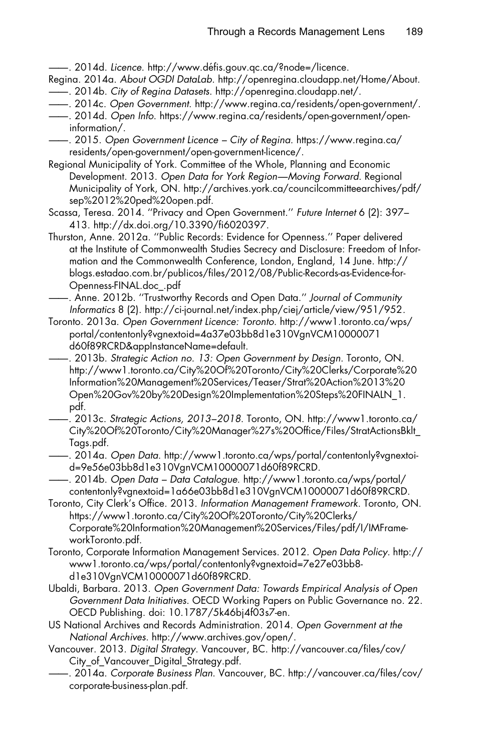<span id="page-36-0"></span>——. 2014d. Licence. http://www.défis.gouv.gc.ca/?node=/licence.

Regina. 2014a. About OGDI DataLab. [http://openregina.cloudapp.net/Home/About.](http://openregina.cloudapp.net/Home/About) ——. 2014b. City of Regina Datasets.<http://openregina.cloudapp.net/>.

- ——. 2014c. Open Government. [http://www.regina.ca/residents/open-government/.](http://www.regina.ca/residents/open-government/)
- ——. 2014d. Open Info. [https://www.regina.ca/residents/open-government/open](https://www.regina.ca/residents/open-government/open-information/)[information/](https://www.regina.ca/residents/open-government/open-information/).
- ——. 2015. Open Government Licence City of Regina. [https://www.regina.ca/](https://www.regina.ca/residents/open-government/open-government-licence/) [residents/open-government/open-government-licence/.](https://www.regina.ca/residents/open-government/open-government-licence/)
- Regional Municipality of York. Committee of the Whole, Planning and Economic Development. 2013. Open Data for York Region—Moving Forward. Regional Municipality of York, ON. [http://archives.york.ca/councilcommitteearchives/pdf/](http://archives.york.ca/councilcommitteearchives/pdf/sep%2012%20ped%20open.pdf) [sep%2012%20ped%20open.pdf.](http://archives.york.ca/councilcommitteearchives/pdf/sep%2012%20ped%20open.pdf)
- Scassa, Teresa. 2014. ''Privacy and Open Government.'' Future Internet 6 (2): 397– 413.<http://dx.doi.org/10.3390/fi6020397>.
- Thurston, Anne. 2012a. ''Public Records: Evidence for Openness.'' Paper delivered at the Institute of Commonwealth Studies Secrecy and Disclosure: Freedom of Information and the Commonwealth Conference, London, England, 14 June. [http://](http://blogs.estadao.com.br/publicos/files/2012/08/Public-Records-as-Evidence-for-Openness-FINAL.doc_.pdf ) [blogs.estadao.com.br/publicos/files/2012/08/Public-Records-as-Evidence-for-](http://blogs.estadao.com.br/publicos/files/2012/08/Public-Records-as-Evidence-for-Openness-FINAL.doc_.pdf )[Openness-FINAL.doc\\_.pdf](http://blogs.estadao.com.br/publicos/files/2012/08/Public-Records-as-Evidence-for-Openness-FINAL.doc_.pdf )
- -. Anne. 2012b. "Trustworthy Records and Open Data." Journal of Community Informatics 8 (2).<http://ci-journal.net/index.php/ciej/article/view/951/952>.
- Toronto. 2013a. Open Government Licence: Toronto. [http://www1.toronto.ca/wps/](http://www1.toronto.ca/wps/portal/contentonly?vgnextoid=4a37e03bb8d1e310VgnVCM10000071d60f89RCRD&appInstanceName=default) [portal/contentonly?vgnextoid=4a37e03bb8d1e310VgnVCM10000071](http://www1.toronto.ca/wps/portal/contentonly?vgnextoid=4a37e03bb8d1e310VgnVCM10000071d60f89RCRD&appInstanceName=default) [d60f89RCRD&appInstanceName=default.](http://www1.toronto.ca/wps/portal/contentonly?vgnextoid=4a37e03bb8d1e310VgnVCM10000071d60f89RCRD&appInstanceName=default)
- -. 2013b. Strategic Action no. 13: Open Government by Design. Toronto, ON. [http://www1.toronto.ca/City%20Of%20Toronto/City%20Clerks/Corporate%20](http://www1.toronto.ca/City%20Of%20Toronto/City%20Clerks/Corporate%20Information%20Management%20Services/Teaser/Strat%20Action%2013%20Open%20Gov%20by%20Design%20Implementation%20Steps%20FINALN_1.pdf) [Information%20Management%20Services/Teaser/Strat%20Action%2013%20](http://www1.toronto.ca/City%20Of%20Toronto/City%20Clerks/Corporate%20Information%20Management%20Services/Teaser/Strat%20Action%2013%20Open%20Gov%20by%20Design%20Implementation%20Steps%20FINALN_1.pdf) [Open%20Gov%20by%20Design%20Implementation%20Steps%20FINALN\\_1.](http://www1.toronto.ca/City%20Of%20Toronto/City%20Clerks/Corporate%20Information%20Management%20Services/Teaser/Strat%20Action%2013%20Open%20Gov%20by%20Design%20Implementation%20Steps%20FINALN_1.pdf) [pdf.](http://www1.toronto.ca/City%20Of%20Toronto/City%20Clerks/Corporate%20Information%20Management%20Services/Teaser/Strat%20Action%2013%20Open%20Gov%20by%20Design%20Implementation%20Steps%20FINALN_1.pdf)
- ——. 2013c. Strategic Actions, 2013–2018. Toronto, ON. [http://www1.toronto.ca/](http://www1.toronto.ca/City%20Of%20Toronto/City%20Manager%27s%20Office/Files/StratActionsBklt_Tags.pdf) [City%20Of%20Toronto/City%20Manager%27s%20Office/Files/StratActionsBklt\\_](http://www1.toronto.ca/City%20Of%20Toronto/City%20Manager%27s%20Office/Files/StratActionsBklt_Tags.pdf) [Tags.pdf.](http://www1.toronto.ca/City%20Of%20Toronto/City%20Manager%27s%20Office/Files/StratActionsBklt_Tags.pdf)
- ——. 2014a. Open Data. [http://www1.toronto.ca/wps/portal/contentonly?vgnextoi](http://www1.toronto.ca/wps/portal/contentonly?vgnextoid=9e56e03bb8d1e310VgnVCM10000071d60f89RCRD)[d=9e56e03bb8d1e310VgnVCM10000071d60f89RCRD.](http://www1.toronto.ca/wps/portal/contentonly?vgnextoid=9e56e03bb8d1e310VgnVCM10000071d60f89RCRD)
- -. 2014b. Open Data Data Catalogue. [http://www1.toronto.ca/wps/portal/](http://www1.toronto.ca/wps/portal/contentonly?vgnextoid=1a66e03bb8d1e310VgnVCM10000071d60f89RCRD) [contentonly?vgnextoid=1a66e03bb8d1e310VgnVCM10000071d60f89RCRD](http://www1.toronto.ca/wps/portal/contentonly?vgnextoid=1a66e03bb8d1e310VgnVCM10000071d60f89RCRD).
- Toronto, City Clerk's Office. 2013. Information Management Framework. Toronto, ON. [https://www1.toronto.ca/City%20Of%20Toronto/City%20Clerks/](https://www1.toronto.ca/City%20Of%20Toronto/City%20Clerks/Corporate%20Information%20Management%20Services/Files/pdf/I/IMFrameworkToronto.pdf) [Corporate%20Information%20Management%20Services/Files/pdf/I/IMFrame](https://www1.toronto.ca/City%20Of%20Toronto/City%20Clerks/Corporate%20Information%20Management%20Services/Files/pdf/I/IMFrameworkToronto.pdf)[workToronto.pdf.](https://www1.toronto.ca/City%20Of%20Toronto/City%20Clerks/Corporate%20Information%20Management%20Services/Files/pdf/I/IMFrameworkToronto.pdf)
- Toronto, Corporate Information Management Services. 2012. Open Data Policy. [http://](http://www1.toronto.ca/wps/portal/contentonly?vgnextoid=7e27e03bb8-d1e310VgnVCM10000071d60f89RCRD) [www1.toronto.ca/wps/portal/contentonly?vgnextoid=7e27e03bb8](http://www1.toronto.ca/wps/portal/contentonly?vgnextoid=7e27e03bb8-d1e310VgnVCM10000071d60f89RCRD) [d1e310VgnVCM10000071d60f89RCRD](http://www1.toronto.ca/wps/portal/contentonly?vgnextoid=7e27e03bb8-d1e310VgnVCM10000071d60f89RCRD).
- Ubaldi, Barbara. 2013. Open Government Data: Towards Empirical Analysis of Open Government Data Initiatives. OECD Working Papers on Public Governance no. 22. OECD Publishing. doi: [10.1787/5k46bj4f03s7-en.](10.1787/5k46bj4f03s7-en)
- US National Archives and Records Administration. 2014. Open Government at the National Archives.<http://www.archives.gov/open/>.
- Vancouver. 2013. Digital Strategy. Vancouver, BC. [http://vancouver.ca/files/cov/](http://vancouver.ca/files/cov/City_of_Vancouver_Digital_Strategy.pdf) [City\\_of\\_Vancouver\\_Digital\\_Strategy.pdf.](http://vancouver.ca/files/cov/City_of_Vancouver_Digital_Strategy.pdf)
- ——. 2014a. Corporate Business Plan. Vancouver, BC. [http://vancouver.ca/files/cov/](http://vancouver.ca/files/cov/corporate-business-plan.pdf) [corporate-business-plan.pdf.](http://vancouver.ca/files/cov/corporate-business-plan.pdf)